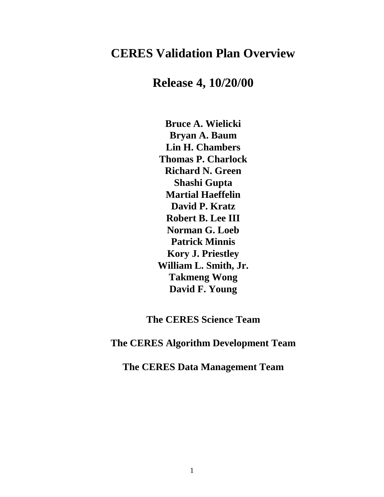# **CERES Validation Plan Overview**

**Release 4, 10/20/00**

**Bruce A. Wielicki Bryan A. Baum Lin H. Chambers Thomas P. Charlock Richard N. Green Shashi Gupta Martial Haeffelin David P. Kratz Robert B. Lee III Norman G. Loeb Patrick Minnis Kory J. Priestley William L. Smith, Jr. Takmeng Wong David F. Young** 

**The CERES Science Team** 

**The CERES Algorithm Development Team** 

**The CERES Data Management Team**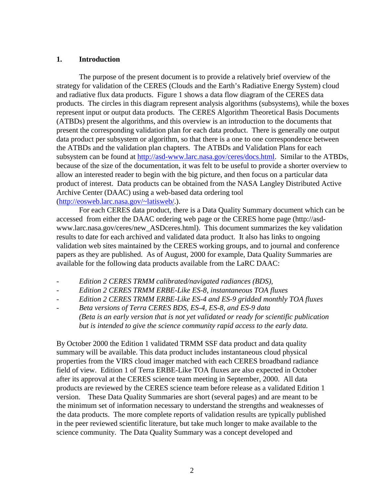# **1. Introduction**

The purpose of the present document is to provide a relatively brief overview of the strategy for validation of the CERES (Clouds and the Earth's Radiative Energy System) cloud and radiative flux data products. Figure 1 shows a data flow diagram of the CERES data products. The circles in this diagram represent analysis algorithms (subsystems), while the boxes represent input or output data products. The CERES Algorithm Theoretical Basis Documents (ATBDs) present the algorithms, and this overview is an introduction to the documents that present the corresponding validation plan for each data product. There is generally one output data product per subsystem or algorithm, so that there is a one to one correspondence between the ATBDs and the validation plan chapters. The ATBDs and Validation Plans for each subsystem can be found at http://asd-www.larc.nasa.gov/ceres/docs.html. Similar to the ATBDs, because of the size of the documentation, it was felt to be useful to provide a shorter overview to allow an interested reader to begin with the big picture, and then focus on a particular data product of interest. Data products can be obtained from the NASA Langley Distributed Active Archive Center (DAAC) using a web-based data ordering tool (http://eosweb.larc.nasa.gov/~latisweb/.).

For each CERES data product, there is a Data Quality Summary document which can be accessed from either the DAAC ordering web page or the CERES home page (http://asdwww.larc.nasa.gov/ceres/new\_ASDceres.html). This document summarizes the key validation results to date for each archived and validated data product. It also has links to ongoing validation web sites maintained by the CERES working groups, and to journal and conference papers as they are published. As of August, 2000 for example, Data Quality Summaries are available for the following data products available from the LaRC DAAC:

- *Edition 2 CERES TRMM calibrated/navigated radiances (BDS),*
- *Edition 2 CERES TRMM ERBE-Like ES-8, instantaneous TOA fluxes*
- *Edition 2 CERES TRMM ERBE-Like ES-4 and ES-9 gridded monthly TOA fluxes*
- *Beta versions of Terra CERES BDS, ES-4, ES-8, and ES-9 data (Beta is an early version that is not yet validated or ready for scientific publication but is intended to give the science community rapid access to the early data.*

By October 2000 the Edition 1 validated TRMM SSF data product and data quality summary will be available. This data product includes instantaneous cloud physical properties from the VIRS cloud imager matched with each CERES broadband radiance field of view. Edition 1 of Terra ERBE-Like TOA fluxes are also expected in October after its approval at the CERES science team meeting in September, 2000. All data products are reviewed by the CERES science team before release as a validated Edition 1 version. These Data Quality Summaries are short (several pages) and are meant to be the minimum set of information necessary to understand the strengths and weaknesses of the data products. The more complete reports of validation results are typically published in the peer reviewed scientific literature, but take much longer to make available to the science community. The Data Quality Summary was a concept developed and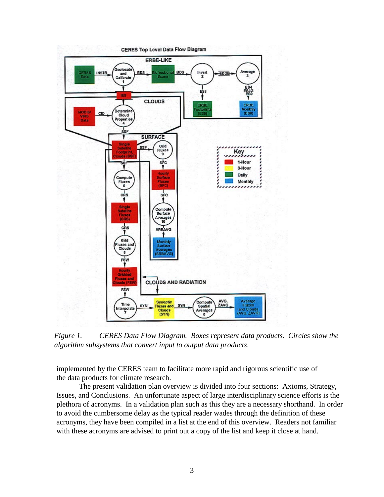

*Figure 1. CERES Data Flow Diagram. Boxes represent data products. Circles show the algorithm subsystems that convert input to output data products*.

implemented by the CERES team to facilitate more rapid and rigorous scientific use of the data products for climate research.

The present validation plan overview is divided into four sections: Axioms, Strategy, Issues, and Conclusions. An unfortunate aspect of large interdisciplinary science efforts is the plethora of acronyms. In a validation plan such as this they are a necessary shorthand. In order to avoid the cumbersome delay as the typical reader wades through the definition of these acronyms, they have been compiled in a list at the end of this overview. Readers not familiar with these acronyms are advised to print out a copy of the list and keep it close at hand.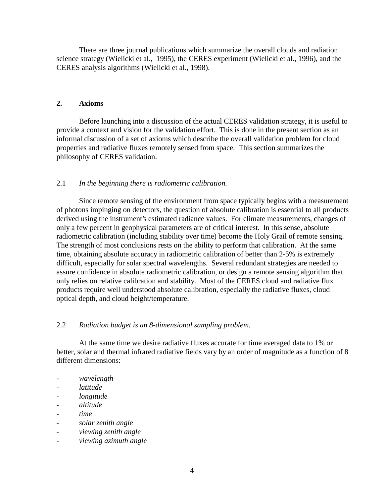There are three journal publications which summarize the overall clouds and radiation science strategy (Wielicki et al., 1995), the CERES experiment (Wielicki et al., 1996), and the CERES analysis algorithms (Wielicki et al., 1998).

# **2. Axioms**

Before launching into a discussion of the actual CERES validation strategy, it is useful to provide a context and vision for the validation effort. This is done in the present section as an informal discussion of a set of axioms which describe the overall validation problem for cloud properties and radiative fluxes remotely sensed from space. This section summarizes the philosophy of CERES validation.

# 2.1 *In the beginning there is radiometric calibration.*

Since remote sensing of the environment from space typically begins with a measurement of photons impinging on detectors, the question of absolute calibration is essential to all products derived using the instrument's estimated radiance values. For climate measurements, changes of only a few percent in geophysical parameters are of critical interest. In this sense, absolute radiometric calibration (including stability over time) become the Holy Grail of remote sensing. The strength of most conclusions rests on the ability to perform that calibration. At the same time, obtaining absolute accuracy in radiometric calibration of better than 2-5% is extremely difficult, especially for solar spectral wavelengths. Several redundant strategies are needed to assure confidence in absolute radiometric calibration, or design a remote sensing algorithm that only relies on relative calibration and stability. Most of the CERES cloud and radiative flux products require well understood absolute calibration, especially the radiative fluxes, cloud optical depth, and cloud height/temperature.

# 2.2 *Radiation budget is an 8-dimensional sampling problem.*

At the same time we desire radiative fluxes accurate for time averaged data to 1% or better, solar and thermal infrared radiative fields vary by an order of magnitude as a function of 8 different dimensions:

- *wavelength*
- *latitude*
- *longitude*
- *altitude*
- *time*
- *solar zenith angle*
- *viewing zenith angle*
- *viewing azimuth angle*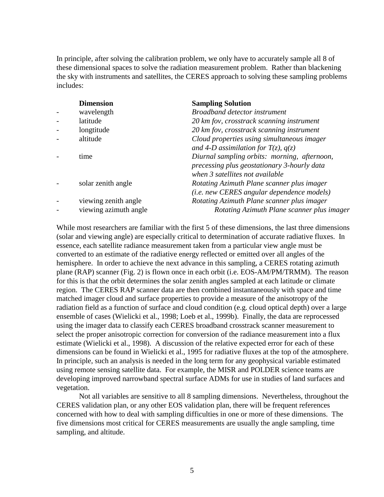In principle, after solving the calibration problem, we only have to accurately sample all 8 of these dimensional spaces to solve the radiation measurement problem. Rather than blackening the sky with instruments and satellites, the CERES approach to solving these sampling problems includes:

| <b>Dimension</b>      | <b>Sampling Solution</b>                                                                                                       |
|-----------------------|--------------------------------------------------------------------------------------------------------------------------------|
| wavelength            | <b>Broadband detector instrument</b>                                                                                           |
| latitude              | 20 km fov, crosstrack scanning instrument                                                                                      |
| longtitude            | 20 km fov, crosstrack scanning instrument                                                                                      |
| altitude              | Cloud properties using simultaneous imager<br>and 4-D assimilation for $T(z)$ , $q(z)$                                         |
| time                  | Diurnal sampling orbits: morning, afternoon,<br>precessing plus geostationary 3-hourly data<br>when 3 satellites not available |
| solar zenith angle    | Rotating Azimuth Plane scanner plus imager<br>(i.e. new CERES angular dependence models)                                       |
| viewing zenith angle  | Rotating Azimuth Plane scanner plus imager                                                                                     |
| viewing azimuth angle | Rotating Azimuth Plane scanner plus imager                                                                                     |

While most researchers are familiar with the first 5 of these dimensions, the last three dimensions (solar and viewing angle) are especially critical to determination of accurate radiative fluxes. In essence, each satellite radiance measurement taken from a particular view angle must be converted to an estimate of the radiative energy reflected or emitted over all angles of the hemisphere. In order to achieve the next advance in this sampling, a CERES rotating azimuth plane (RAP) scanner (Fig. 2) is flown once in each orbit (i.e. EOS-AM/PM/TRMM). The reason for this is that the orbit determines the solar zenith angles sampled at each latitude or climate region. The CERES RAP scanner data are then combined instantaneously with space and time matched imager cloud and surface properties to provide a measure of the anisotropy of the radiation field as a function of surface and cloud condition (e.g. cloud optical depth) over a large ensemble of cases (Wielicki et al., 1998; Loeb et al., 1999b). Finally, the data are reprocessed using the imager data to classify each CERES broadband crosstrack scanner measurement to select the proper anisotropic correction for conversion of the radiance measurement into a flux estimate (Wielicki et al., 1998). A discussion of the relative expected error for each of these dimensions can be found in Wielicki et al., 1995 for radiative fluxes at the top of the atmosphere. In principle, such an analysis is needed in the long term for any geophysical variable estimated using remote sensing satellite data. For example, the MISR and POLDER science teams are developing improved narrowband spectral surface ADMs for use in studies of land surfaces and vegetation.

 Not all variables are sensitive to all 8 sampling dimensions. Nevertheless, throughout the CERES validation plan, or any other EOS validation plan, there will be frequent references concerned with how to deal with sampling difficulties in one or more of these dimensions. The five dimensions most critical for CERES measurements are usually the angle sampling, time sampling, and altitude.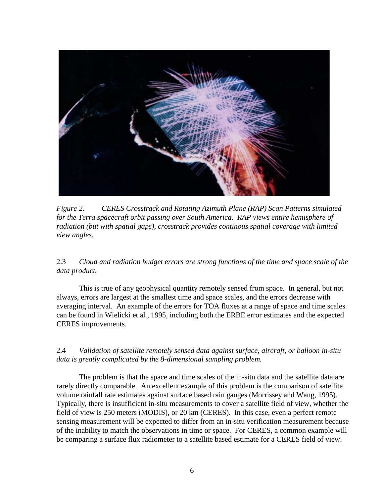

*Figure 2. CERES Crosstrack and Rotating Azimuth Plane (RAP) Scan Patterns simulated for the Terra spacecraft orbit passing over South America. RAP views entire hemisphere of radiation (but with spatial gaps), crosstrack provides continous spatial coverage with limited view angles.* 

2.3 *Cloud and radiation budget errors are strong functions of the time and space scale of the data product.* 

This is true of any geophysical quantity remotely sensed from space. In general, but not always, errors are largest at the smallest time and space scales, and the errors decrease with averaging interval. An example of the errors for TOA fluxes at a range of space and time scales can be found in Wielicki et al., 1995, including both the ERBE error estimates and the expected CERES improvements.

2.4 *Validation of satellite remotely sensed data against surface, aircraft, or balloon in-situ data is greatly complicated by the 8-dimensional sampling problem.* 

The problem is that the space and time scales of the in-situ data and the satellite data are rarely directly comparable. An excellent example of this problem is the comparison of satellite volume rainfall rate estimates against surface based rain gauges (Morrissey and Wang, 1995). Typically, there is insufficient in-situ measurements to cover a satellite field of view, whether the field of view is 250 meters (MODIS), or 20 km (CERES). In this case, even a perfect remote sensing measurement will be expected to differ from an in-situ verification measurement because of the inability to match the observations in time or space. For CERES, a common example will be comparing a surface flux radiometer to a satellite based estimate for a CERES field of view.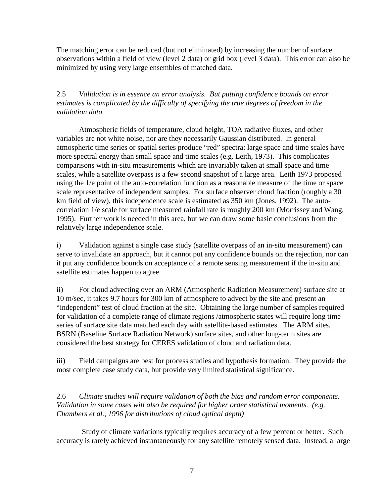The matching error can be reduced (but not eliminated) by increasing the number of surface observations within a field of view (level 2 data) or grid box (level 3 data). This error can also be minimized by using very large ensembles of matched data.

2.5 *Validation is in essence an error analysis. But putting confidence bounds on error estimates is complicated by the difficulty of specifying the true degrees of freedom in the validation data.* 

Atmospheric fields of temperature, cloud height, TOA radiative fluxes, and other variables are not white noise, nor are they necessarily Gaussian distributed. In general atmospheric time series or spatial series produce "red" spectra: large space and time scales have more spectral energy than small space and time scales (e.g. Leith, 1973). This complicates comparisons with in-situ measurements which are invariably taken at small space and time scales, while a satellite overpass is a few second snapshot of a large area. Leith 1973 proposed using the 1/e point of the auto-correlation function as a reasonable measure of the time or space scale representative of independent samples. For surface observer cloud fraction (roughly a 30 km field of view), this independence scale is estimated as 350 km (Jones, 1992). The autocorrelation 1/e scale for surface measured rainfall rate is roughly 200 km (Morrissey and Wang, 1995). Further work is needed in this area, but we can draw some basic conclusions from the relatively large independence scale.

i) Validation against a single case study (satellite overpass of an in-situ measurement) can serve to invalidate an approach, but it cannot put any confidence bounds on the rejection, nor can it put any confidence bounds on acceptance of a remote sensing measurement if the in-situ and satellite estimates happen to agree.

ii) For cloud advecting over an ARM (Atmospheric Radiation Measurement) surface site at 10 m/sec, it takes 9.7 hours for 300 km of atmosphere to advect by the site and present an "independent" test of cloud fraction at the site. Obtaining the large number of samples required for validation of a complete range of climate regions /atmospheric states will require long time series of surface site data matched each day with satellite-based estimates. The ARM sites, BSRN (Baseline Surface Radiation Network) surface sites, and other long-term sites are considered the best strategy for CERES validation of cloud and radiation data.

iii) Field campaigns are best for process studies and hypothesis formation. They provide the most complete case study data, but provide very limited statistical significance.

2.6 *Climate studies will require validation of both the bias and random error components. Validation in some cases will also be required for higher order statistical moments. (e.g. Chambers et al., 1996 for distributions of cloud optical depth)* 

Study of climate variations typically requires accuracy of a few percent or better. Such accuracy is rarely achieved instantaneously for any satellite remotely sensed data. Instead, a large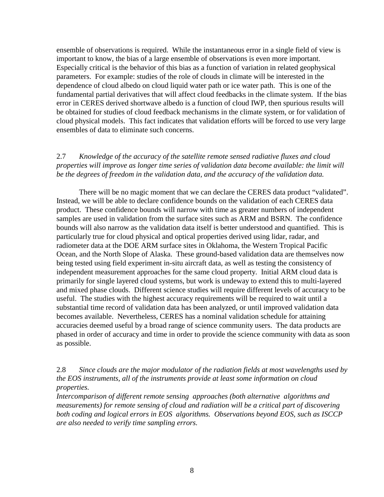ensemble of observations is required. While the instantaneous error in a single field of view is important to know, the bias of a large ensemble of observations is even more important. Especially critical is the behavior of this bias as a function of variation in related geophysical parameters. For example: studies of the role of clouds in climate will be interested in the dependence of cloud albedo on cloud liquid water path or ice water path. This is one of the fundamental partial derivatives that will affect cloud feedbacks in the climate system. If the bias error in CERES derived shortwave albedo is a function of cloud IWP, then spurious results will be obtained for studies of cloud feedback mechanisms in the climate system, or for validation of cloud physical models. This fact indicates that validation efforts will be forced to use very large ensembles of data to eliminate such concerns.

# 2.7 *Knowledge of the accuracy of the satellite remote sensed radiative fluxes and cloud properties will improve as longer time series of validation data become available: the limit will be the degrees of freedom in the validation data, and the accuracy of the validation data.*

There will be no magic moment that we can declare the CERES data product "validated". Instead, we will be able to declare confidence bounds on the validation of each CERES data product. These confidence bounds will narrow with time as greater numbers of independent samples are used in validation from the surface sites such as ARM and BSRN. The confidence bounds will also narrow as the validation data itself is better understood and quantified. This is particularly true for cloud physical and optical properties derived using lidar, radar, and radiometer data at the DOE ARM surface sites in Oklahoma, the Western Tropical Pacific Ocean, and the North Slope of Alaska. These ground-based validation data are themselves now being tested using field experiment in-situ aircraft data, as well as testing the consistency of independent measurement approaches for the same cloud property. Initial ARM cloud data is primarily for single layered cloud systems, but work is undeway to extend this to multi-layered and mixed phase clouds. Different science studies will require different levels of accuracy to be useful. The studies with the highest accuracy requirements will be required to wait until a substantial time record of validation data has been analyzed, or until improved validation data becomes available. Nevertheless, CERES has a nominal validation schedule for attaining accuracies deemed useful by a broad range of science community users. The data products are phased in order of accuracy and time in order to provide the science community with data as soon as possible.

2.8 *Since clouds are the major modulator of the radiation fields at most wavelengths used by the EOS instruments, all of the instruments provide at least some information on cloud properties.* 

*Intercomparison of different remote sensing approaches (both alternative algorithms and measurements) for remote sensing of cloud and radiation will be a critical part of discovering both coding and logical errors in EOS algorithms. Observations beyond EOS, such as ISCCP are also needed to verify time sampling errors.*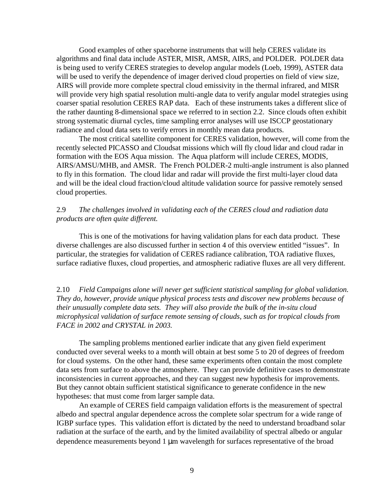Good examples of other spaceborne instruments that will help CERES validate its algorithms and final data include ASTER, MISR, AMSR, AIRS, and POLDER. POLDER data is being used to verify CERES strategies to develop angular models (Loeb, 1999), ASTER data will be used to verify the dependence of imager derived cloud properties on field of view size, AIRS will provide more complete spectral cloud emissivity in the thermal infrared, and MISR will provide very high spatial resolution multi-angle data to verify angular model strategies using coarser spatial resolution CERES RAP data. Each of these instruments takes a different slice of the rather daunting 8-dimensional space we referred to in section 2.2. Since clouds often exhibit strong systematic diurnal cycles, time sampling error analyses will use ISCCP geostationary radiance and cloud data sets to verify errors in monthly mean data products.

The most critical satellite component for CERES validation, however, will come from the recently selected PICASSO and Cloudsat missions which will fly cloud lidar and cloud radar in formation with the EOS Aqua mission. The Aqua platform will include CERES, MODIS, AIRS/AMSU/MHB, and AMSR. The French POLDER-2 multi-angle instrument is also planned to fly in this formation. The cloud lidar and radar will provide the first multi-layer cloud data and will be the ideal cloud fraction/cloud altitude validation source for passive remotely sensed cloud properties.

# 2.9 *The challenges involved in validating each of the CERES cloud and radiation data products are often quite different.*

 This is one of the motivations for having validation plans for each data product. These diverse challenges are also discussed further in section 4 of this overview entitled "issues". In particular, the strategies for validation of CERES radiance calibration, TOA radiative fluxes, surface radiative fluxes, cloud properties, and atmospheric radiative fluxes are all very different.

2.10 *Field Campaigns alone will never get sufficient statistical sampling for global validation. They do, however, provide unique physical process tests and discover new problems because of their unusually complete data sets. They will also provide the bulk of the in-situ cloud microphysical validation of surface remote sensing of clouds, such as for tropical clouds from FACE in 2002 and CRYSTAL in 2003.* 

The sampling problems mentioned earlier indicate that any given field experiment conducted over several weeks to a month will obtain at best some 5 to 20 of degrees of freedom for cloud systems. On the other hand, these same experiments often contain the most complete data sets from surface to above the atmosphere. They can provide definitive cases to demonstrate inconsistencies in current approaches, and they can suggest new hypothesis for improvements. But they cannot obtain sufficient statistical significance to generate confidence in the new hypotheses: that must come from larger sample data.

An example of CERES field campaign validation efforts is the measurement of spectral albedo and spectral angular dependence across the complete solar spectrum for a wide range of IGBP surface types. This validation effort is dictated by the need to understand broadband solar radiation at the surface of the earth, and by the limited availability of spectral albedo or angular dependence measurements beyond 1 µm wavelength for surfaces representative of the broad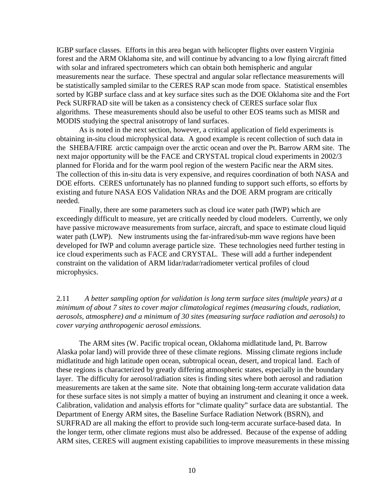IGBP surface classes. Efforts in this area began with helicopter flights over eastern Virginia forest and the ARM Oklahoma site, and will continue by advancing to a low flying aircraft fitted with solar and infrared spectrometers which can obtain both hemispheric and angular measurements near the surface. These spectral and angular solar reflectance measurements will be statistically sampled similar to the CERES RAP scan mode from space. Statistical ensembles sorted by IGBP surface class and at key surface sites such as the DOE Oklahoma site and the Fort Peck SURFRAD site will be taken as a consistency check of CERES surface solar flux algorithms. These measurements should also be useful to other EOS teams such as MISR and MODIS studying the spectral anisotropy of land surfaces.

As is noted in the next section, however, a critical application of field experiments is obtaining in-situ cloud microphysical data. A good example is recent collection of such data in the SHEBA/FIRE arctic campaign over the arctic ocean and over the Pt. Barrow ARM site. The next major opportunity will be the FACE and CRYSTAL tropical cloud experiments in 2002/3 planned for Florida and for the warm pool region of the western Pacific near the ARM sites. The collection of this in-situ data is very expensive, and requires coordination of both NASA and DOE efforts. CERES unfortunately has no planned funding to support such efforts, so efforts by existing and future NASA EOS Validation NRAs and the DOE ARM program are critically needed.

Finally, there are some parameters such as cloud ice water path (IWP) which are exceedingly difficult to measure, yet are critically needed by cloud modelers. Currently, we only have passive microwave measurements from surface, aircraft, and space to estimate cloud liquid water path (LWP). New instruments using the far-infrared/sub-mm wave regions have been developed for IWP and column average particle size. These technologies need further testing in ice cloud experiments such as FACE and CRYSTAL. These will add a further independent constraint on the validation of ARM lidar/radar/radiometer vertical profiles of cloud microphysics.

2.11 *A better sampling option for validation is long term surface sites (multiple years) at a minimum of about 7 sites to cover major climatological regimes (measuring clouds, radiation, aerosols, atmosphere) and a minimum of 30 sites (measuring surface radiation and aerosols) to cover varying anthropogenic aerosol emissions.* 

The ARM sites (W. Pacific tropical ocean, Oklahoma midlatitude land, Pt. Barrow Alaska polar land) will provide three of these climate regions. Missing climate regions include midlatitude and high latitude open ocean, subtropical ocean, desert, and tropical land. Each of these regions is characterized by greatly differing atmospheric states, especially in the boundary layer. The difficulty for aerosol/radiation sites is finding sites where both aerosol and radiation measurements are taken at the same site. Note that obtaining long-term accurate validation data for these surface sites is not simply a matter of buying an instrument and cleaning it once a week. Calibration, validation and analysis efforts for "climate quality" surface data are substantial. The Department of Energy ARM sites, the Baseline Surface Radiation Network (BSRN), and SURFRAD are all making the effort to provide such long-term accurate surface-based data. In the longer term, other climate regions must also be addressed. Because of the expense of adding ARM sites, CERES will augment existing capabilities to improve measurements in these missing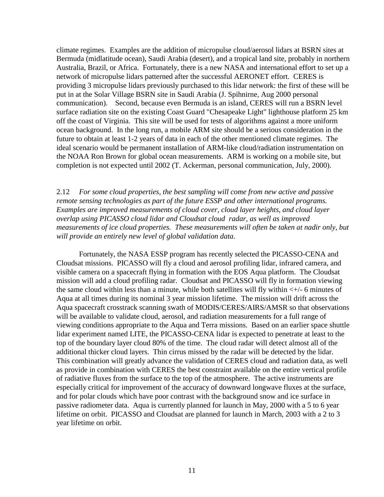climate regimes. Examples are the addition of micropulse cloud/aerosol lidars at BSRN sites at Bermuda (midlatitude ocean), Saudi Arabia (desert), and a tropical land site, probably in northern Australia, Brazil, or Africa. Fortunately, there is a new NASA and international effort to set up a network of micropulse lidars patterned after the successful AERONET effort. CERES is providing 3 micropulse lidars previously purchased to this lidar network: the first of these will be put in at the Solar Village BSRN site in Saudi Arabia (J. Spihnirne, Aug 2000 personal communication). Second, because even Bermuda is an island, CERES will run a BSRN level surface radiation site on the existing Coast Guard "Chesapeake Light" lighthouse platform 25 km off the coast of Virginia. This site will be used for tests of algorithms against a more uniform ocean background. In the long run, a mobile ARM site should be a serious consideration in the future to obtain at least 1-2 years of data in each of the other mentioned climate regimes. The ideal scenario would be permanent installation of ARM-like cloud/radiation instrumentation on the NOAA Ron Brown for global ocean measurements. ARM is working on a mobile site, but completion is not expected until 2002 (T. Ackerman, personal communication, July, 2000).

2.12 *For some cloud properties, the best sampling will come from new active and passive remote sensing technologies as part of the future ESSP and other international programs. Examples are improved measurements of cloud cover, cloud layer heights, and cloud layer overlap using PICASSO cloud lidar and Cloudsat cloud radar, as well as improved measurements of ice cloud properties. These measurements will often be taken at nadir only, but will provide an entirely new level of global validation data.* 

Fortunately, the NASA ESSP program has recently selected the PICASSO-CENA and Cloudsat missions. PICASSO will fly a cloud and aerosol profiling lidar, infrared camera, and visible camera on a spacecraft flying in formation with the EOS Aqua platform. The Cloudsat mission will add a cloud profiling radar. Cloudsat and PICASSO will fly in formation viewing the same cloud within less than a minute, while both satellites will fly within  $\lt +$  6 minutes of Aqua at all times during its nominal 3 year mission lifetime. The mission will drift across the Aqua spacecraft crosstrack scanning swath of MODIS/CERES/AIRS/AMSR so that observations will be available to validate cloud, aerosol, and radiation measurements for a full range of viewing conditions appropriate to the Aqua and Terra missions. Based on an earlier space shuttle lidar experiment named LITE, the PICASSO-CENA lidar is expected to penetrate at least to the top of the boundary layer cloud 80% of the time. The cloud radar will detect almost all of the additional thicker cloud layers. Thin cirrus missed by the radar will be detected by the lidar. This combination will greatly advance the validation of CERES cloud and radiation data, as well as provide in combination with CERES the best constraint available on the entire vertical profile of radiative fluxes from the surface to the top of the atmosphere. The active instruments are especially critical for improvement of the accuracy of downward longwave fluxes at the surface, and for polar clouds which have poor contrast with the background snow and ice surface in passive radiometer data. Aqua is currently planned for launch in May, 2000 with a 5 to 6 year lifetime on orbit. PICASSO and Cloudsat are planned for launch in March, 2003 with a 2 to 3 year lifetime on orbit.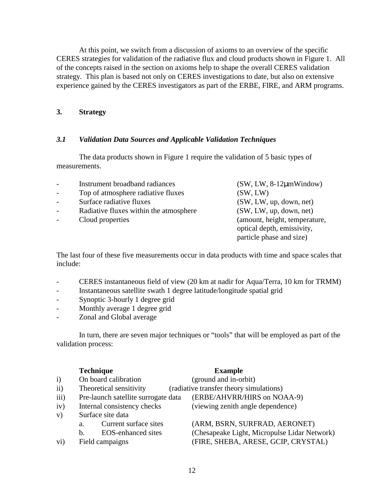At this point, we switch from a discussion of axioms to an overview of the specific CERES strategies for validation of the radiative flux and cloud products shown in Figure 1. All of the concepts raised in the section on axioms help to shape the overall CERES validation strategy. This plan is based not only on CERES investigations to date, but also on extensive experience gained by the CERES investigators as part of the ERBE, FIRE, and ARM programs.

# **3. Strategy**

# *3.1 Validation Data Sources and Applicable Validation Techniques*

The data products shown in Figure 1 require the validation of 5 basic types of measurements.

|        | Instrument broadband radiances         | $(SW, LW, 8-12\mu mWindow)$   |
|--------|----------------------------------------|-------------------------------|
| $\sim$ | Top of atmosphere radiative fluxes     | (SW, LW)                      |
| $\sim$ | Surface radiative fluxes               | (SW, LW, up, down, net)       |
|        | Radiative fluxes within the atmosphere | (SW, LW, up, down, net)       |
|        | Cloud properties                       | (amount, height, temperature, |
|        |                                        | optical depth, emissivity,    |
|        |                                        | particle phase and size)      |

The last four of these five measurements occur in data products with time and space scales that include:

- CERES instantaneous field of view (20 km at nadir for Aqua/Terra, 10 km for TRMM)
- Instantaneous satellite swath 1 degree latitude/longitude spatial grid
- Synoptic 3-hourly 1 degree grid
- Monthly average 1 degree grid
- Zonal and Global average

 In turn, there are seven major techniques or "tools" that will be employed as part of the validation process:

|              |    | <b>Technique</b>                    | <b>Example</b>                               |
|--------------|----|-------------------------------------|----------------------------------------------|
| $\mathbf{i}$ |    | On board calibration                | (ground and in-orbit)                        |
| $\rm ii)$    |    | Theoretical sensitivity             | (radiative transfer theory simulations)      |
| iii)         |    | Pre-launch satellite surrogate data | (ERBE/AHVRR/HIRS on NOAA-9)                  |
| iv)          |    | Internal consistency checks         | (viewing zenith angle dependence)            |
| V)           |    | Surface site data                   |                                              |
|              | a. | Current surface sites               | (ARM, BSRN, SURFRAD, AERONET)                |
|              | b. | <b>EOS-enhanced sites</b>           | (Chesapeake Light, Micropulse Lidar Network) |
| $\rm vi)$    |    | Field campaigns                     | (FIRE, SHEBA, ARESE, GCIP, CRYSTAL)          |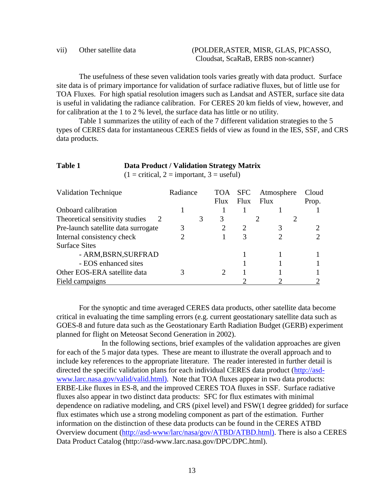## vii) Other satellite data (POLDER,ASTER, MISR, GLAS, PICASSO, Cloudsat, ScaRaB, ERBS non-scanner)

 The usefulness of these seven validation tools varies greatly with data product. Surface site data is of primary importance for validation of surface radiative fluxes, but of little use for TOA Fluxes. For high spatial resolution imagers such as Landsat and ASTER, surface site data is useful in validating the radiance calibration. For CERES 20 km fields of view, however, and for calibration at the 1 to 2 % level, the surface data has little or no utility.

Table 1 summarizes the utility of each of the 7 different validation strategies to the 5 types of CERES data for instantaneous CERES fields of view as found in the IES, SSF, and CRS data products.

# **Table 1 Data Product / Validation Strategy Matrix**

 $(1 = \text{critical}, 2 = \text{important}, 3 = \text{useful})$ 

| <b>Validation Technique</b>         | Radiance |   | <b>TOA</b> | <b>SFC</b>                  | Atmosphere | Cloud |
|-------------------------------------|----------|---|------------|-----------------------------|------------|-------|
|                                     |          |   | Flux       | Flux                        | Flux       | Prop. |
| Onboard calibration                 |          |   |            |                             |            |       |
| Theoretical sensitivity studies     |          | 3 |            |                             |            |       |
| Pre-launch satellite data surrogate |          |   |            | $\mathcal{D}_{\mathcal{A}}$ |            |       |
| Internal consistency check          |          |   |            | 3                           |            |       |
| <b>Surface Sites</b>                |          |   |            |                             |            |       |
| - ARM, BSRN, SURFRAD                |          |   |            |                             |            |       |
| - EOS enhanced sites                |          |   |            |                             |            |       |
| Other EOS-ERA satellite data        |          |   |            |                             |            |       |
| Field campaigns                     |          |   |            |                             |            |       |

 For the synoptic and time averaged CERES data products, other satellite data become critical in evaluating the time sampling errors (e.g. current geostationary satellite data such as GOES-8 and future data such as the Geostationary Earth Radiation Budget (GERB) experiment planned for flight on Meteosat Second Generation in 2002).

 In the following sections, brief examples of the validation approaches are given for each of the 5 major data types. These are meant to illustrate the overall approach and to include key references to the appropriate literature. The reader interested in further detail is directed the specific validation plans for each individual CERES data product (http://asdwww.larc.nasa.gov/valid/valid.html). Note that TOA fluxes appear in two data products: ERBE-Like fluxes in ES-8, and the improved CERES TOA fluxes in SSF. Surface radiative fluxes also appear in two distinct data products: SFC for flux estimates with minimal dependence on radiative modeling, and CRS (pixel level) and FSW(1 degree gridded) for surface flux estimates which use a strong modeling component as part of the estimation. Further information on the distinction of these data products can be found in the CERES ATBD Overview document (http://asd-www/larc/nasa/gov/ATBD/ATBD.html). There is also a CERES Data Product Catalog (http://asd-www.larc.nasa.gov/DPC/DPC.html).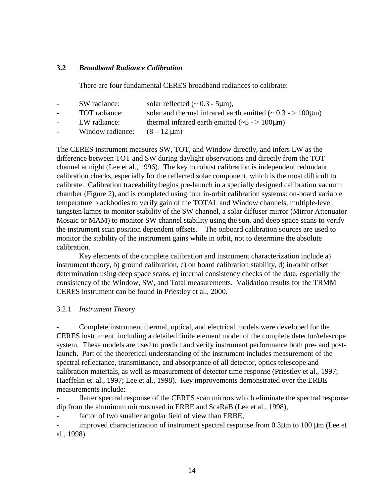# **3.2** *Broadband Radiance Calibration*

There are four fundamental CERES broadband radiances to calibrate:

- SW radiance: solar reflected  $(-0.3 5\mu m)$ , TOT radiance: solar and thermal infrared earth emitted  $(-0.3 - 100 \mu m)$
- LW radiance: thermal infrared earth emitted  $(-5 100 \mu m)$
- 
- Window radiance:  $(8 12 \text{ }\mu\text{m})$

The CERES instrument measures SW, TOT, and Window directly, and infers LW as the difference between TOT and SW during daylight observations and directly from the TOT channel at night (Lee et al., 1996). The key to robust calibration is independent redundant calibration checks, especially for the reflected solar component, which is the most difficult to calibrate. Calibration traceability begins pre-launch in a specially designed calibration vacuum chamber (Figure 2), and is completed using four in-orbit calibration systems: on-board variable temperature blackbodies to verify gain of the TOTAL and Window channels, multiple-level tungsten lamps to monitor stability of the SW channel, a solar diffuser mirror (Mirror Attenuator Mosaic or MAM) to monitor SW channel stability using the sun, and deep space scans to verify the instrument scan position dependent offsets. The onboard calibration sources are used to monitor the stability of the instrument gains while in orbit, not to determine the absolute calibration.

Key elements of the complete calibration and instrument characterization include a) instrument theory, b) ground calibration, c) on board calibration stability, d) in-orbit offset determination using deep space scans, e) internal consistency checks of the data, especially the consistency of the Window, SW, and Total measurements. Validation results for the TRMM CERES instrument can be found in Priestley et al., 2000.

# 3.2.1 *Instrument Theor*y

- Complete instrument thermal, optical, and electrical models were developed for the CERES instrument, including a detailed finite element model of the complete detector/telescope system. These models are used to predict and verify instrument performance both pre- and postlaunch. Part of the theoretical understanding of the instrument includes measurement of the spectral reflectance, transmittance, and absorptance of all detector, optics telescope and calibration materials, as well as measurement of detector time response (Priestley et al., 1997; Haeffelin et. al., 1997; Lee et al., 1998). Key improvements demonstrated over the ERBE measurements include:

- flatter spectral response of the CERES scan mirrors which eliminate the spectral response dip from the aluminum mirrors used in ERBE and ScaRaB (Lee et al., 1998),

- factor of two smaller angular field of view than ERBE,

- improved characterization of instrument spectral response from 0.3µm to 100 µm (Lee et al., 1998).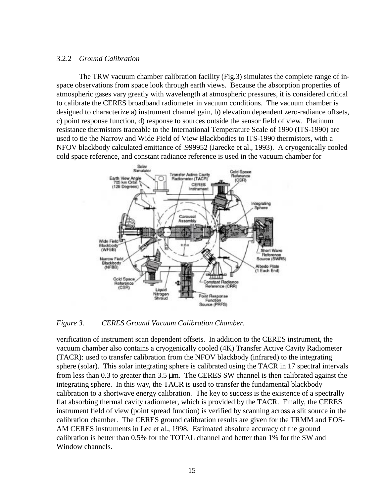# 3.2.2 *Ground Calibration*

The TRW vacuum chamber calibration facility (Fig.3) simulates the complete range of inspace observations from space look through earth views. Because the absorption properties of atmospheric gases vary greatly with wavelength at atmospheric pressures, it is considered critical to calibrate the CERES broadband radiometer in vacuum conditions. The vacuum chamber is designed to characterize a) instrument channel gain, b) elevation dependent zero-radiance offsets, c) point response function, d) response to sources outside the sensor field of view. Platinum resistance thermistors traceable to the International Temperature Scale of 1990 (ITS-1990) are used to tie the Narrow and Wide Field of View Blackbodies to ITS-1990 thermistors, with a NFOV blackbody calculated emittance of .999952 (Jarecke et al., 1993). A cryogenically cooled cold space reference, and constant radiance reference is used in the vacuum chamber for



*Figure 3. CERES Ground Vacuum Calibration Chamber.* 

verification of instrument scan dependent offsets. In addition to the CERES instrument, the vacuum chamber also contains a cryogenically cooled (4K) Transfer Active Cavity Radiometer (TACR): used to transfer calibration from the NFOV blackbody (infrared) to the integrating sphere (solar). This solar integrating sphere is calibrated using the TACR in 17 spectral intervals from less than 0.3 to greater than  $3.5 \mu m$ . The CERES SW channel is then calibrated against the integrating sphere. In this way, the TACR is used to transfer the fundamental blackbody calibration to a shortwave energy calibration. The key to success is the existence of a spectrally flat absorbing thermal cavity radiometer, which is provided by the TACR. Finally, the CERES instrument field of view (point spread function) is verified by scanning across a slit source in the calibration chamber. The CERES ground calibration results are given for the TRMM and EOS-AM CERES instruments in Lee et al., 1998. Estimated absolute accuracy of the ground calibration is better than 0.5% for the TOTAL channel and better than 1% for the SW and Window channels.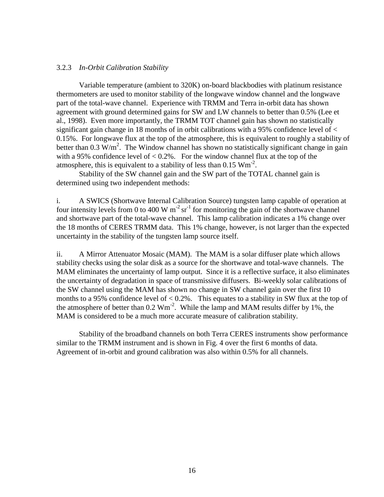#### 3.2.3 *In-Orbit Calibration Stability*

Variable temperature (ambient to 320K) on-board blackbodies with platinum resistance thermometers are used to monitor stability of the longwave window channel and the longwave part of the total-wave channel. Experience with TRMM and Terra in-orbit data has shown agreement with ground determined gains for SW and LW channels to better than 0.5% (Lee et al., 1998). Even more importantly, the TRMM TOT channel gain has shown no statistically significant gain change in 18 months of in orbit calibrations with a 95% confidence level of  $\lt$ 0.15%. For longwave flux at the top of the atmosphere, this is equivalent to roughly a stability of better than 0.3 W/m<sup>2</sup>. The Window channel has shown no statistically significant change in gain with a 95% confidence level of  $< 0.2$ %. For the window channel flux at the top of the atmosphere, this is equivalent to a stability of less than  $0.15 \text{ Wm}^2$ .

Stability of the SW channel gain and the SW part of the TOTAL channel gain is determined using two independent methods:

i. A SWICS (Shortwave Internal Calibration Source) tungsten lamp capable of operation at four intensity levels from 0 to 400 W  $m^{-2}$  sr<sup>-1</sup> for monitoring the gain of the shortwave channel and shortwave part of the total-wave channel. This lamp calibration indicates a 1% change over the 18 months of CERES TRMM data. This 1% change, however, is not larger than the expected uncertainty in the stability of the tungsten lamp source itself.

ii. A Mirror Attenuator Mosaic (MAM). The MAM is a solar diffuser plate which allows stability checks using the solar disk as a source for the shortwave and total-wave channels. The MAM eliminates the uncertainty of lamp output. Since it is a reflective surface, it also eliminates the uncertainty of degradation in space of transmissive diffusers. Bi-weekly solar calibrations of the SW channel using the MAM has shown no change in SW channel gain over the first 10 months to a 95% confidence level of  $< 0.2$ %. This equates to a stability in SW flux at the top of the atmosphere of better than  $0.2 \text{ Wm}^2$ . While the lamp and MAM results differ by 1%, the MAM is considered to be a much more accurate measure of calibration stability.

 Stability of the broadband channels on both Terra CERES instruments show performance similar to the TRMM instrument and is shown in Fig. 4 over the first 6 months of data. Agreement of in-orbit and ground calibration was also within 0.5% for all channels.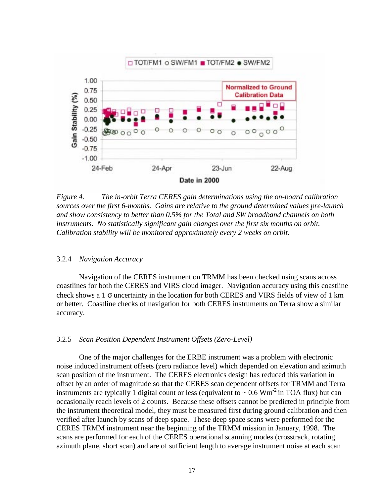

*Figure 4. The in-orbit Terra CERES gain determinations using the on-board calibration sources over the first 6-months. Gains are relative to the ground determined values pre-launch and show consistency to better than 0.5% for the Total and SW broadband channels on both instruments. No statistically significant gain changes over the first six months on orbit. Calibration stability will be monitored approximately every 2 weeks on orbit.* 

#### 3.2.4 *Navigation Accuracy*

Navigation of the CERES instrument on TRMM has been checked using scans across coastlines for both the CERES and VIRS cloud imager. Navigation accuracy using this coastline check shows a  $1 \sigma$  uncertainty in the location for both CERES and VIRS fields of view of  $1 \text{ km}$ or better. Coastline checks of navigation for both CERES instruments on Terra show a similar accuracy.

#### 3.2.5 *Scan Position Dependent Instrument Offsets (Zero-Level)*

 One of the major challenges for the ERBE instrument was a problem with electronic noise induced instrument offsets (zero radiance level) which depended on elevation and azimuth scan position of the instrument. The CERES electronics design has reduced this variation in offset by an order of magnitude so that the CERES scan dependent offsets for TRMM and Terra instruments are typically 1 digital count or less (equivalent to  $\sim 0.6$  Wm<sup>-2</sup> in TOA flux) but can occasionally reach levels of 2 counts. Because these offsets cannot be predicted in principle from the instrument theoretical model, they must be measured first during ground calibration and then verified after launch by scans of deep space. These deep space scans were performed for the CERES TRMM instrument near the beginning of the TRMM mission in January, 1998. The scans are performed for each of the CERES operational scanning modes (crosstrack, rotating azimuth plane, short scan) and are of sufficient length to average instrument noise at each scan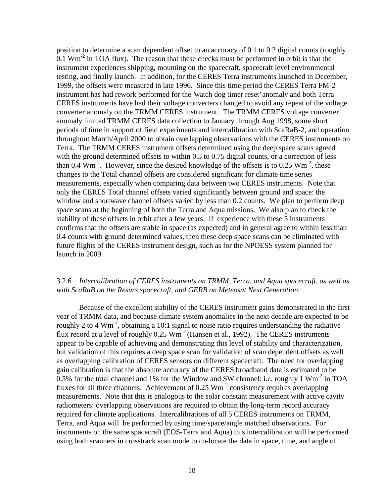position to determine a scan dependent offset to an accuracy of 0.1 to 0.2 digital counts (roughly 0.1  $\text{Wm}^2$  in TOA flux). The reason that these checks must be performed in orbit is that the instrument experiences shipping, mounting on the spacecraft, spacecraft level environmental testing, and finally launch. In addition, for the CERES Terra instruments launched in December, 1999, the offsets were measured in late 1996. Since this time period the CERES Terra FM-2 instrument has had rework performed for the 'watch dog timer reset' anomaly and both Terra CERES instruments have had their voltage converters changed to avoid any repeat of the voltage converter anomaly on the TRMM CERES instrument. The TRMM CERES voltage converter anomaly limited TRMM CERES data collection to January through Aug 1998, some short periods of time in support of field experiments and intercalibration with ScaRaB-2, and operation throughout March/April 2000 to obtain overlapping observations with the CERES instruments on Terra. The TRMM CERES instrument offsets determined using the deep space scans agreed with the ground determined offsets to within 0.5 to 0.75 digital counts, or a correction of less than 0.4  $\text{Wm}^2$ . However, since the desired knowledge of the offsets is to 0.25  $\text{Wm}^2$ , these changes to the Total channel offsets are considered significant for climate time series measurements, especially when comparing data between two CERES instruments. Note that only the CERES Total channel offsets varied significantly between ground and space: the window and shortwave channel offsets varied by less than 0.2 counts. We plan to perform deep space scans at the beginning of both the Terra and Aqua missions. We also plan to check the stability of these offsets in orbit after a few years. If experience with these 5 instruments confirms that the offsets are stable in space (as expected) and in general agree to within less than 0.4 counts with ground determined values, then these deep space scans can be eliminated with future flights of the CERES instrument design, such as for the NPOESS system planned for launch in 2009.

# 3.2.6 *Intercalibration of CERES instruments on TRMM, Terra, and Aqua spacecraft, as well as with ScaRaB on the Resurs spacecraft, and GERB on Meteosat Next Generation.*

Because of the excellent stability of the CERES instrument gains demonstrated in the first year of TRMM data, and because climate system anomalies in the next decade are expected to be roughly 2 to 4  $Wm^{-2}$ , obtaining a 10:1 signal to noise ratio requires understanding the radiative flux record at a level of roughly  $0.25 \text{ Wm}^2$  (Hansen et al., 1992). The CERES instruments appear to be capable of achieving and demonstrating this level of stability and characterization, but validation of this requires a deep space scan for validation of scan dependent offsets as well as overlapping calibration of CERES sensors on different spacecraft. The need for overlapping gain calibration is that the absolute accuracy of the CERES broadband data is estimated to be 0.5% for the total channel and 1% for the Window and SW channel: i.e. roughly 1  $Wm<sup>-2</sup>$  in TOA fluxes for all three channels. Achievement of  $0.25 \text{ Wm}^2$  consistency requires overlapping measurements. Note that this is analogous to the solar constant measurement with active cavity radiometers: overlapping observations are required to obtain the long-term record accuracy required for climate applications. Intercalibrations of all 5 CERES instruments on TRMM, Terra, and Aqua will be performed by using time/space/angle matched observations. For instruments on the same spacecraft (EOS-Terra and Aqua) this intercalibration will be performed using both scanners in crosstrack scan mode to co-locate the data in space, time, and angle of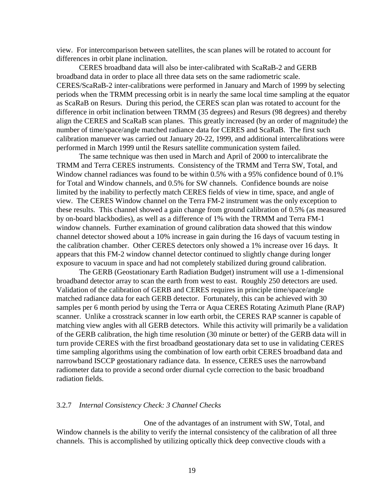view. For intercomparison between satellites, the scan planes will be rotated to account for differences in orbit plane inclination.

 CERES broadband data will also be inter-calibrated with ScaRaB-2 and GERB broadband data in order to place all three data sets on the same radiometric scale. CERES/ScaRaB-2 inter-calibrations were performed in January and March of 1999 by selecting periods when the TRMM precessing orbit is in nearly the same local time sampling at the equator as ScaRaB on Resurs. During this period, the CERES scan plan was rotated to account for the difference in orbit inclination between TRMM (35 degrees) and Resurs (98 degrees) and thereby align the CERES and ScaRaB scan planes. This greatly increased (by an order of magnitude) the number of time/space/angle matched radiance data for CERES and ScaRaB. The first such calibration manuever was carried out January 20-22, 1999, and additional intercalibrations were performed in March 1999 until the Resurs satellite communication system failed.

The same technique was then used in March and April of 2000 to intercalibrate the TRMM and Terra CERES instruments. Consistency of the TRMM and Terra SW, Total, and Window channel radiances was found to be within 0.5% with a 95% confidence bound of 0.1% for Total and Window channels, and 0.5% for SW channels. Confidence bounds are noise limited by the inability to perfectly match CERES fields of view in time, space, and angle of view. The CERES Window channel on the Terra FM-2 instrument was the only exception to these results. This channel showed a gain change from ground calibration of 0.5% (as measured by on-board blackbodies), as well as a difference of 1% with the TRMM and Terra FM-1 window channels. Further examination of ground calibration data showed that this window channel detector showed about a 10% increase in gain during the 16 days of vacuum testing in the calibration chamber. Other CERES detectors only showed a 1% increase over 16 days. It appears that this FM-2 window channel detector continued to slightly change during longer exposure to vacuum in space and had not completely stabilized during ground calibration.

The GERB (Geostationary Earth Radiation Budget) instrument will use a 1-dimensional broadband detector array to scan the earth from west to east. Roughly 250 detectors are used. Validation of the calibration of GERB and CERES requires in principle time/space/angle matched radiance data for each GERB detector. Fortunately, this can be achieved with 30 samples per 6 month period by using the Terra or Aqua CERES Rotating Azimuth Plane (RAP) scanner. Unlike a crosstrack scanner in low earth orbit, the CERES RAP scanner is capable of matching view angles with all GERB detectors. While this activity will primarily be a validation of the GERB calibration, the high time resolution (30 minute or better) of the GERB data will in turn provide CERES with the first broadband geostationary data set to use in validating CERES time sampling algorithms using the combination of low earth orbit CERES broadband data and narrowband ISCCP geostationary radiance data. In essence, CERES uses the narrowband radiometer data to provide a second order diurnal cycle correction to the basic broadband radiation fields.

#### 3.2.7 *Internal Consistency Check: 3 Channel Checks*

One of the advantages of an instrument with SW, Total, and Window channels is the ability to verify the internal consistency of the calibration of all three channels. This is accomplished by utilizing optically thick deep convective clouds with a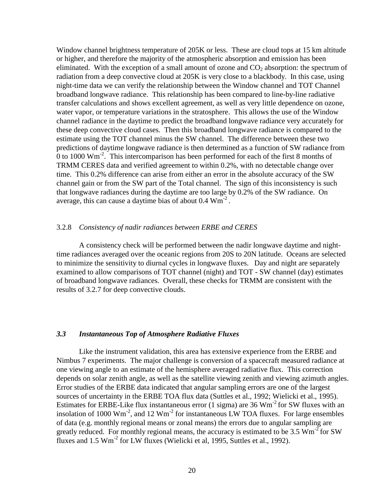Window channel brightness temperature of 205K or less. These are cloud tops at 15 km altitude or higher, and therefore the majority of the atmospheric absorption and emission has been eliminated. With the exception of a small amount of ozone and  $CO<sub>2</sub>$  absorption: the spectrum of radiation from a deep convective cloud at 205K is very close to a blackbody. In this case, using night-time data we can verify the relationship between the Window channel and TOT Channel broadband longwave radiance. This relationship has been compared to line-by-line radiative transfer calculations and shows excellent agreement, as well as very little dependence on ozone, water vapor, or temperature variations in the stratosphere. This allows the use of the Window channel radiance in the daytime to predict the broadband longwave radiance very accurately for these deep convective cloud cases. Then this broadband longwave radiance is compared to the estimate using the TOT channel minus the SW channel. The difference between these two predictions of daytime longwave radiance is then determined as a function of SW radiance from 0 to 1000  $\text{Wm}^2$ . This intercomparison has been performed for each of the first 8 months of TRMM CERES data and verified agreement to within 0.2%, with no detectable change over time. This 0.2% difference can arise from either an error in the absolute accuracy of the SW channel gain or from the SW part of the Total channel. The sign of this inconsistency is such that longwave radiances during the daytime are too large by 0.2% of the SW radiance. On average, this can cause a daytime bias of about  $0.4 \text{ Wm}^2$ .

#### 3.2.8 *Consistency of nadir radiances between ERBE and CERES*

A consistency check will be performed between the nadir longwave daytime and nighttime radiances averaged over the oceanic regions from 20S to 20N latitude. Oceans are selected to minimize the sensitivity to diurnal cycles in longwave fluxes. Day and night are separately examined to allow comparisons of TOT channel (night) and TOT - SW channel (day) estimates of broadband longwave radiances. Overall, these checks for TRMM are consistent with the results of 3.2.7 for deep convective clouds.

#### *3.3 Instantaneous Top of Atmosphere Radiative Fluxes*

 Like the instrument validation, this area has extensive experience from the ERBE and Nimbus 7 experiments. The major challenge is conversion of a spacecraft measured radiance at one viewing angle to an estimate of the hemisphere averaged radiative flux. This correction depends on solar zenith angle, as well as the satellite viewing zenith and viewing azimuth angles. Error studies of the ERBE data indicated that angular sampling errors are one of the largest sources of uncertainty in the ERBE TOA flux data (Suttles et al., 1992; Wielicki et al., 1995). Estimates for ERBE-Like flux instantaneous error (1 sigma) are 36 Wm<sup>-2</sup> for SW fluxes with an insolation of 1000  $\text{Wm}^2$ , and 12  $\text{Wm}^2$  for instantaneous LW TOA fluxes. For large ensembles of data (e.g. monthly regional means or zonal means) the errors due to angular sampling are greatly reduced. For monthly regional means, the accuracy is estimated to be 3.5  $Wm<sup>-2</sup>$  for SW fluxes and  $1.5 \text{ Wm}^2$  for LW fluxes (Wielicki et al, 1995, Suttles et al., 1992).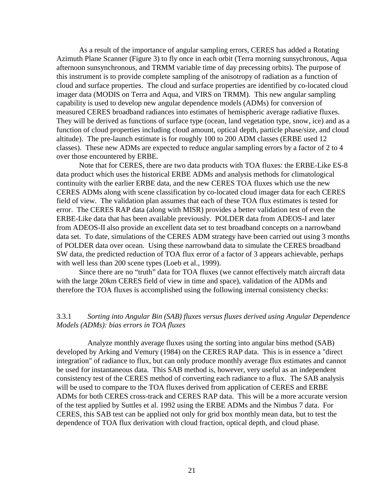As a result of the importance of angular sampling errors, CERES has added a Rotating Azimuth Plane Scanner (Figure 3) to fly once in each orbit (Terra morning sunsychronous, Aqua afternoon sunsynchronous, and TRMM variable time of day precessing orbits). The purpose of this instrument is to provide complete sampling of the anisotropy of radiation as a function of cloud and surface properties. The cloud and surface properties are identified by co-located cloud imager data (MODIS on Terra and Aqua, and VIRS on TRMM). This new angular sampling capability is used to develop new angular dependence models (ADMs) for conversion of measured CERES broadband radiances into estimates of hemispheric average radiative fluxes. They will be derived as functions of surface type (ocean, land vegetation type, snow, ice) and as a function of cloud properties including cloud amount, optical depth, particle phase/size, and cloud altitude). The pre-launch estimate is for roughly 100 to 200 ADM classes (ERBE used 12 classes). These new ADMs are expected to reduce angular sampling errors by a factor of 2 to 4 over those encountered by ERBE.

 Note that for CERES, there are two data products with TOA fluxes: the ERBE-Like ES-8 data product which uses the historical ERBE ADMs and analysis methods for climatological continuity with the earlier ERBE data, and the new CERES TOA fluxes which use the new CERES ADMs along with scene classification by co-located cloud imager data for each CERES field of view. The validation plan assumes that each of these TOA flux estimates is tested for error. The CERES RAP data (along with MISR) provides a better validation test of even the ERBE-Like data that has been available previously. POLDER data from ADEOS-I and later from ADEOS-II also provide an excellent data set to test broadband concepts on a narrowband data set. To date, simulations of the CERES ADM strategy have been carried out using 3 months of POLDER data over ocean. Using these narrowband data to simulate the CERES broadband SW data, the predicted reduction of TOA flux error of a factor of 3 appears achievable, perhaps with well less than 200 scene types (Loeb et al., 1999).

Since there are no "truth" data for TOA fluxes (we cannot effectively match aircraft data with the large 20km CERES field of view in time and space), validation of the ADMs and therefore the TOA fluxes is accomplished using the following internal consistency checks:

# 3.3.1 *Sorting into Angular Bin (SAB) fluxes versus fluxes derived using Angular Dependence Models (ADMs): bias errors in TOA fluxes*

Analyze monthly average fluxes using the sorting into angular bins method (SAB) developed by Arking and Vemury (1984) on the CERES RAP data. This is in essence a "direct integration" of radiance to flux, but can only produce monthly average flux estimates and cannot be used for instantaneous data. This SAB method is, however, very useful as an independent consistency test of the CERES method of converting each radiance to a flux. The SAB analysis will be used to compare to the TOA fluxes derived from application of CERES and ERBE ADMs for both CERES cross-track and CERES RAP data. This will be a more accurate version of the test applied by Suttles et al. 1992 using the ERBE ADMs and the Nimbus 7 data. For CERES, this SAB test can be applied not only for grid box monthly mean data, but to test the dependence of TOA flux derivation with cloud fraction, optical depth, and cloud phase.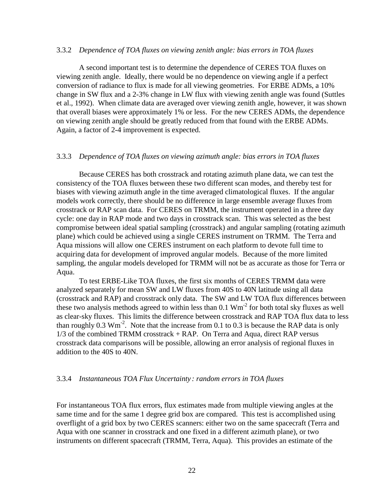#### 3.3.2 *Dependence of TOA fluxes on viewing zenith angle: bias errors in TOA fluxes*

 A second important test is to determine the dependence of CERES TOA fluxes on viewing zenith angle. Ideally, there would be no dependence on viewing angle if a perfect conversion of radiance to flux is made for all viewing geometries. For ERBE ADMs, a 10% change in SW flux and a 2-3% change in LW flux with viewing zenith angle was found (Suttles et al., 1992). When climate data are averaged over viewing zenith angle, however, it was shown that overall biases were approximately 1% or less. For the new CERES ADMs, the dependence on viewing zenith angle should be greatly reduced from that found with the ERBE ADMs. Again, a factor of 2-4 improvement is expected.

## 3.3.3 *Dependence of TOA fluxes on viewing azimuth angle: bias errors in TOA fluxes*

 Because CERES has both crosstrack and rotating azimuth plane data, we can test the consistency of the TOA fluxes between these two different scan modes, and thereby test for biases with viewing azimuth angle in the time averaged climatological fluxes. If the angular models work correctly, there should be no difference in large ensemble average fluxes from crosstrack or RAP scan data. For CERES on TRMM, the instrument operated in a three day cycle: one day in RAP mode and two days in crosstrack scan. This was selected as the best compromise between ideal spatial sampling (crosstrack) and angular sampling (rotating azimuth plane) which could be achieved using a single CERES instrument on TRMM. The Terra and Aqua missions will allow one CERES instrument on each platform to devote full time to acquiring data for development of improved angular models. Because of the more limited sampling, the angular models developed for TRMM will not be as accurate as those for Terra or Aqua.

 To test ERBE-Like TOA fluxes, the first six months of CERES TRMM data were analyzed separately for mean SW and LW fluxes from 40S to 40N latitude using all data (crosstrack and RAP) and crosstrack only data. The SW and LW TOA flux differences between these two analysis methods agreed to within less than  $0.1 \text{ Wm}^2$  for both total sky fluxes as well as clear-sky fluxes. This limits the difference between crosstrack and RAP TOA flux data to less than roughly  $0.3 \text{ Wm}^2$ . Note that the increase from 0.1 to 0.3 is because the RAP data is only 1/3 of the combined TRMM crosstrack + RAP. On Terra and Aqua, direct RAP versus crosstrack data comparisons will be possible, allowing an error analysis of regional fluxes in addition to the 40S to 40N.

#### 3.3.4 *Instantaneous TOA Flux Uncertainty : random errors in TOA fluxes*

For instantaneous TOA flux errors, flux estimates made from multiple viewing angles at the same time and for the same 1 degree grid box are compared. This test is accomplished using overflight of a grid box by two CERES scanners: either two on the same spacecraft (Terra and Aqua with one scanner in crosstrack and one fixed in a different azimuth plane), or two instruments on different spacecraft (TRMM, Terra, Aqua). This provides an estimate of the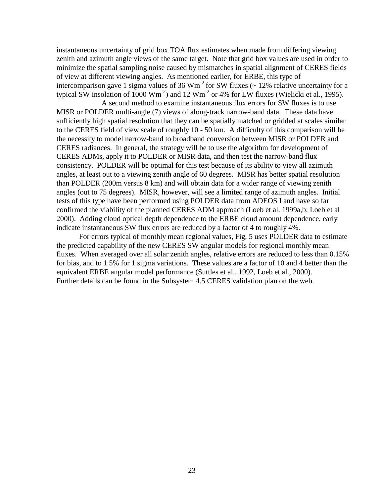instantaneous uncertainty of grid box TOA flux estimates when made from differing viewing zenith and azimuth angle views of the same target. Note that grid box values are used in order to minimize the spatial sampling noise caused by mismatches in spatial alignment of CERES fields of view at different viewing angles. As mentioned earlier, for ERBE, this type of intercomparison gave 1 sigma values of 36 Wm<sup>-2</sup> for SW fluxes ( $\sim$  12% relative uncertainty for a typical SW insolation of  $1000 \text{ Wm}^{-2}$ ) and  $12 \text{ Wm}^{-2}$  or 4% for LW fluxes (Wielicki et al., 1995).

 A second method to examine instantaneous flux errors for SW fluxes is to use MISR or POLDER multi-angle (7) views of along-track narrow-band data. These data have sufficiently high spatial resolution that they can be spatially matched or gridded at scales similar to the CERES field of view scale of roughly 10 - 50 km. A difficulty of this comparison will be the necessity to model narrow-band to broadband conversion between MISR or POLDER and CERES radiances. In general, the strategy will be to use the algorithm for development of CERES ADMs, apply it to POLDER or MISR data, and then test the narrow-band flux consistency. POLDER will be optimal for this test because of its ability to view all azimuth angles, at least out to a viewing zenith angle of 60 degrees. MISR has better spatial resolution than POLDER (200m versus 8 km) and will obtain data for a wider range of viewing zenith angles (out to 75 degrees). MISR, however, will see a limited range of azimuth angles. Initial tests of this type have been performed using POLDER data from ADEOS I and have so far confirmed the viability of the planned CERES ADM approach (Loeb et al. 1999a,b; Loeb et al 2000). Adding cloud optical depth dependence to the ERBE cloud amount dependence, early indicate instantaneous SW flux errors are reduced by a factor of 4 to roughly 4%.

For errors typical of monthly mean regional values, Fig, 5 uses POLDER data to estimate the predicted capability of the new CERES SW angular models for regional monthly mean fluxes. When averaged over all solar zenith angles, relative errors are reduced to less than 0.15% for bias, and to 1.5% for 1 sigma variations. These values are a factor of 10 and 4 better than the equivalent ERBE angular model performance (Suttles et al., 1992, Loeb et al., 2000). Further details can be found in the Subsystem 4.5 CERES validation plan on the web.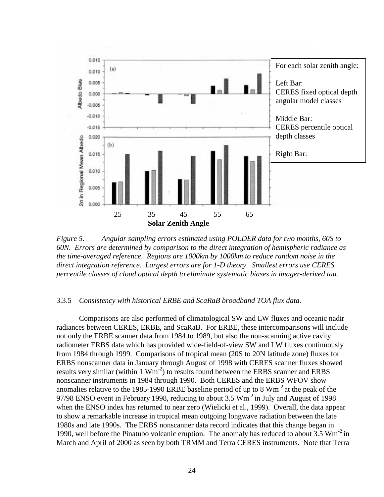

*Figure 5. Angular sampling errors estimated using POLDER data for two months, 60S to 60N. Errors are determined by comparison to the direct integration of hemispheric radiance as the time-averaged reference. Regions are 1000km by 1000km to reduce random noise in the direct integration reference. Largest errors are for 1-D theory. Smallest errors use CERES percentile classes of cloud optical depth to eliminate systematic biases in imager-derived tau.* 

#### 3.3.5 *Consistency with historical ERBE and ScaRaB broadband TOA flux data.*

 Comparisons are also performed of climatological SW and LW fluxes and oceanic nadir radiances between CERES, ERBE, and ScaRaB. For ERBE, these intercomparisons will include not only the ERBE scanner data from 1984 to 1989, but also the non-scanning active cavity radiometer ERBS data which has provided wide-field-of-view SW and LW fluxes continuously from 1984 through 1999. Comparisons of tropical mean (20S to 20N latitude zone) fluxes for ERBS nonscanner data in January through August of 1998 with CERES scanner fluxes showed results very similar (within  $1 \text{ Wm}^2$ ) to results found between the ERBS scanner and ERBS nonscanner instruments in 1984 through 1990. Both CERES and the ERBS WFOV show anomalies relative to the 1985-1990 ERBE baseline period of up to 8  $Wm^{-2}$  at the peak of the 97/98 ENSO event in February 1998, reducing to about 3.5  $Wm<sup>-2</sup>$  in July and August of 1998 when the ENSO index has returned to near zero (Wielicki et al., 1999). Overall, the data appear to show a remarkable increase in tropical mean outgoing longwave radiation between the late 1980s and late 1990s. The ERBS nonscanner data record indicates that this change began in 1990, well before the Pinatubo volcanic eruption. The anomaly has reduced to about  $3.5 \text{ Wm}^{-2}$  in March and April of 2000 as seen by both TRMM and Terra CERES instruments. Note that Terra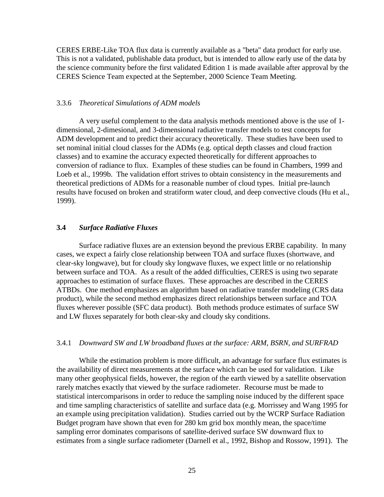CERES ERBE-Like TOA flux data is currently available as a "beta" data product for early use. This is not a validated, publishable data product, but is intended to allow early use of the data by the science community before the first validated Edition 1 is made available after approval by the CERES Science Team expected at the September, 2000 Science Team Meeting.

#### 3.3.6 *Theoretical Simulations of ADM models*

 A very useful complement to the data analysis methods mentioned above is the use of 1 dimensional, 2-dimesional, and 3-dimensional radiative transfer models to test concepts for ADM development and to predict their accuracy theoretically. These studies have been used to set nominal initial cloud classes for the ADMs (e.g. optical depth classes and cloud fraction classes) and to examine the accuracy expected theoretically for different approaches to conversion of radiance to flux. Examples of these studies can be found in Chambers, 1999 and Loeb et al., 1999b. The validation effort strives to obtain consistency in the measurements and theoretical predictions of ADMs for a reasonable number of cloud types. Initial pre-launch results have focused on broken and stratiform water cloud, and deep convective clouds (Hu et al., 1999).

# **3.4** *Surface Radiative Fluxes*

Surface radiative fluxes are an extension beyond the previous ERBE capability. In many cases, we expect a fairly close relationship between TOA and surface fluxes (shortwave, and clear-sky longwave), but for cloudy sky longwave fluxes, we expect little or no relationship between surface and TOA. As a result of the added difficulties, CERES is using two separate approaches to estimation of surface fluxes. These approaches are described in the CERES ATBDs. One method emphasizes an algorithm based on radiative transfer modeling (CRS data product), while the second method emphasizes direct relationships between surface and TOA fluxes wherever possible (SFC data product). Both methods produce estimates of surface SW and LW fluxes separately for both clear-sky and cloudy sky conditions.

#### 3.4.1 *Downward SW and LW broadband fluxes at the surface: ARM, BSRN, and SURFRAD*

While the estimation problem is more difficult, an advantage for surface flux estimates is the availability of direct measurements at the surface which can be used for validation. Like many other geophysical fields, however, the region of the earth viewed by a satellite observation rarely matches exactly that viewed by the surface radiometer. Recourse must be made to statistical intercomparisons in order to reduce the sampling noise induced by the different space and time sampling characteristics of satellite and surface data (e.g. Morrissey and Wang 1995 for an example using precipitation validation). Studies carried out by the WCRP Surface Radiation Budget program have shown that even for 280 km grid box monthly mean, the space/time sampling error dominates comparisons of satellite-derived surface SW downward flux to estimates from a single surface radiometer (Darnell et al., 1992, Bishop and Rossow, 1991). The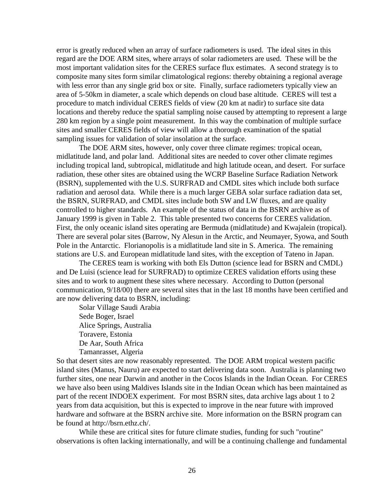error is greatly reduced when an array of surface radiometers is used. The ideal sites in this regard are the DOE ARM sites, where arrays of solar radiometers are used. These will be the most important validation sites for the CERES surface flux estimates. A second strategy is to composite many sites form similar climatological regions: thereby obtaining a regional average with less error than any single grid box or site. Finally, surface radiometers typically view an area of 5-50km in diameter, a scale which depends on cloud base altitude. CERES will test a procedure to match individual CERES fields of view (20 km at nadir) to surface site data locations and thereby reduce the spatial sampling noise caused by attempting to represent a large 280 km region by a single point measurement. In this way the combination of multiple surface sites and smaller CERES fields of view will allow a thorough examination of the spatial sampling issues for validation of solar insolation at the surface.

The DOE ARM sites, however, only cover three climate regimes: tropical ocean, midlatitude land, and polar land. Additional sites are needed to cover other climate regimes including tropical land, subtropical, midlatitude and high latitude ocean, and desert. For surface radiation, these other sites are obtained using the WCRP Baseline Surface Radiation Network (BSRN), supplemented with the U.S. SURFRAD and CMDL sites which include both surface radiation and aerosol data. While there is a much larger GEBA solar surface radiation data set, the BSRN, SURFRAD, and CMDL sites include both SW and LW fluxes, and are quality controlled to higher standards. An example of the status of data in the BSRN archive as of January 1999 is given in Table 2. This table presented two concerns for CERES validation. First, the only oceanic island sites operating are Bermuda (midlatitude) and Kwajalein (tropical). There are several polar sites (Barrow, Ny Alesun in the Arctic, and Neumayer, Syowa, and South Pole in the Antarctic. Florianopolis is a midlatitude land site in S. America. The remaining stations are U.S. and European midlatitude land sites, with the exception of Tateno in Japan.

The CERES team is working with both Els Dutton (science lead for BSRN and CMDL) and De Luisi (science lead for SURFRAD) to optimize CERES validation efforts using these sites and to work to augment these sites where necessary. According to Dutton (personal communication, 9/18/00) there are several sites that in the last 18 months have been certified and are now delivering data to BSRN, including:

Solar Village Saudi Arabia Sede Boger, Israel Alice Springs, Australia Toravere, Estonia De Aar, South Africa Tamanrasset, Algeria

So that desert sites are now reasonably represented. The DOE ARM tropical western pacific island sites (Manus, Nauru) are expected to start delivering data soon. Australia is planning two further sites, one near Darwin and another in the Cocos Islands in the Indian Ocean. For CERES we have also been using Maldives Islands site in the Indian Ocean which has been maintained as part of the recent INDOEX experiment. For most BSRN sites, data archive lags about 1 to 2 years from data acquisition, but this is expected to improve in the near future with improved hardware and software at the BSRN archive site. More information on the BSRN program can be found at http://bsrn.ethz.ch/.

While these are critical sites for future climate studies, funding for such "routine" observations is often lacking internationally, and will be a continuing challenge and fundamental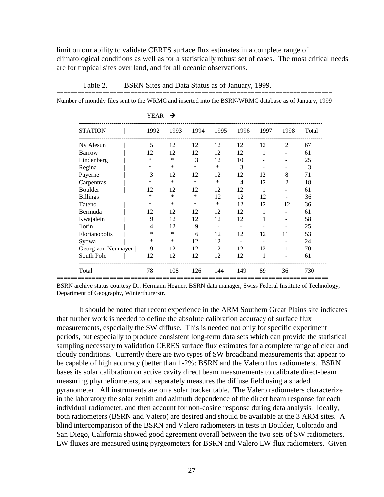limit on our ability to validate CERES surface flux estimates in a complete range of climatological conditions as well as for a statistically robust set of cases. The most critical needs are for tropical sites over land, and for all oceanic observations.

|                    | YEAR           | →    |        |        |                          |      |      |       |
|--------------------|----------------|------|--------|--------|--------------------------|------|------|-------|
| <b>STATION</b>     | 1992           | 1993 | 1994   | 1995   | 1996                     | 1997 | 1998 | Total |
| Ny Alesun          | 5              | 12   | 12     | 12     | 12                       | 12   | 2    | 67    |
| <b>Barrow</b>      | 12             | 12   | 12     | 12     | 12                       | 1    |      | 61    |
| Lindenberg         | $\ast$         | *    | 3      | 12     | 10                       |      |      | 25    |
| Regina             | $\ast$         | *    | ∗      | $\ast$ | 3                        |      |      | 3     |
| Payerne            | 3              | 12   | 12     | 12     | 12                       | 12   | 8    | 71    |
| Carpentras         | *              | *    | $\ast$ | $\ast$ | $\overline{4}$           | 12   | 2    | 18    |
| Boulder            | 12             | 12   | 12     | 12     | 12                       | 1    |      | 61    |
| <b>Billings</b>    | *              | *    | *      | 12     | 12                       | 12   |      | 36    |
| Tateno             | *              | *    | ∗      | $\ast$ | 12                       | 12   | 12   | 36    |
| Bermuda            | 12             | 12   | 12     | 12     | 12                       |      |      | 61    |
| Kwajalein          | 9              | 12   | 12     | 12     | 12                       |      |      | 58    |
| <b>Ilorin</b>      | $\overline{4}$ | 12   | 9      |        | $\overline{\phantom{a}}$ |      |      | 25    |
| Florianopolis      | ∗              | *    | 6      | 12     | 12                       | 12   | 11   | 53    |
| Syowa              | *              | ∗    | 12     | 12     |                          |      |      | 24    |
| Georg von Neumayer | 9              | 12   | 12     | 12     | 12                       | 12   |      | 70    |
| South Pole         | 12             | 12   | 12     | 12     | 12                       | 1    |      | 61    |
| Total              | 78             | 108  | 126    | 144    | 149                      | 89   | 36   | 730   |

Table 2. BSRN Sites and Data Status as of January, 1999.

============================================================================== Number of monthly files sent to the WRMC and inserted into the BSRN/WRMC database as of January, 1999

BSRN archive status courtesy Dr. Hermann Hegner, BSRN data manager, Swiss Federal Institute of Technology, Department of Geography, Winterthurerstr.

It should be noted that recent experience in the ARM Southern Great Plains site indicates that further work is needed to define the absolute calibration accuracy of surface flux measurements, especially the SW diffuse. This is needed not only for specific experiment periods, but especially to produce consistent long-term data sets which can provide the statistical sampling necessary to validation CERES surface flux estimates for a complete range of clear and cloudy conditions. Currently there are two types of SW broadband measurements that appear to be capable of high accuracy (better than 1-2%: BSRN and the Valero flux radiometers. BSRN bases its solar calibration on active cavity direct beam measurements to calibrate direct-beam measuring phyrheliometers, and separately measures the diffuse field using a shaded pyranometer. All instruments are on a solar tracker table. The Valero radiometers characterize in the laboratory the solar zenith and azimuth dependence of the direct beam response for each individual radiometer, and then account for non-cosine response during data analysis. Ideally, both radiometers (BSRN and Valero) are desired and should be available at the 3 ARM sites. A blind intercomparison of the BSRN and Valero radiometers in tests in Boulder, Colorado and San Diego, California showed good agreement overall between the two sets of SW radiometers. LW fluxes are measured using pyrgeometers for BSRN and Valero LW flux radiometers. Given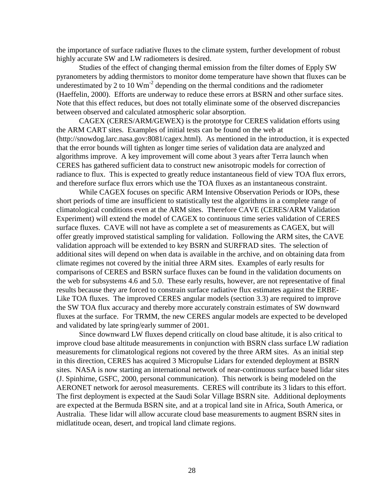the importance of surface radiative fluxes to the climate system, further development of robust highly accurate SW and LW radiometers is desired.

Studies of the effect of changing thermal emission from the filter domes of Epply SW pyranometers by adding thermistors to monitor dome temperature have shown that fluxes can be underestimated by 2 to 10  $Wm<sup>-2</sup>$  depending on the thermal conditions and the radiometer (Haeffelin, 2000). Efforts are underway to reduce these errors at BSRN and other surface sites. Note that this effect reduces, but does not totally eliminate some of the observed discrepancies between observed and calculated atmospheric solar absorption.

CAGEX (CERES/ARM/GEWEX) is the prototype for CERES validation efforts using the ARM CART sites. Examples of initial tests can be found on the web at (http://snowdog.larc.nasa.gov:8081/cagex.html). As mentioned in the introduction, it is expected that the error bounds will tighten as longer time series of validation data are analyzed and algorithms improve. A key improvement will come about 3 years after Terra launch when CERES has gathered sufficient data to construct new anisotropic models for correction of radiance to flux. This is expected to greatly reduce instantaneous field of view TOA flux errors, and therefore surface flux errors which use the TOA fluxes as an instantaneous constraint.

 While CAGEX focuses on specific ARM Intensive Observation Periods or IOPs, these short periods of time are insufficient to statistically test the algorithms in a complete range of climatological conditions even at the ARM sites. Therefore CAVE (CERES/ARM Validation Experiment) will extend the model of CAGEX to continuous time series validation of CERES surface fluxes. CAVE will not have as complete a set of measurements as CAGEX, but will offer greatly improved statistical sampling for validation. Following the ARM sites, the CAVE validation approach will be extended to key BSRN and SURFRAD sites. The selection of additional sites will depend on when data is available in the archive, and on obtaining data from climate regimes not covered by the initial three ARM sites. Examples of early results for comparisons of CERES and BSRN surface fluxes can be found in the validation documents on the web for subsystems 4.6 and 5.0. These early results, however, are not representative of final results because they are forced to constrain surface radiative flux estimates against the ERBE-Like TOA fluxes. The improved CERES angular models (section 3.3) are required to improve the SW TOA flux accuracy and thereby more accurately constrain estimates of SW downward fluxes at the surface. For TRMM, the new CERES angular models are expected to be developed and validated by late spring/early summer of 2001.

 Since downward LW fluxes depend critically on cloud base altitude, it is also critical to improve cloud base altitude measurements in conjunction with BSRN class surface LW radiation measurements for climatological regions not covered by the three ARM sites. As an initial step in this direction, CERES has acquired 3 Micropulse Lidars for extended deployment at BSRN sites. NASA is now starting an international network of near-continuous surface based lidar sites (J. Spinhirne, GSFC, 2000, personal communication). This network is being modeled on the AERONET network for aerosol measurements. CERES will contribute its 3 lidars to this effort. The first deployment is expected at the Saudi Solar Village BSRN site. Additional deployments are expected at the Bermuda BSRN site, and at a tropical land site in Africa, South America, or Australia. These lidar will allow accurate cloud base measurements to augment BSRN sites in midlatitude ocean, desert, and tropical land climate regions.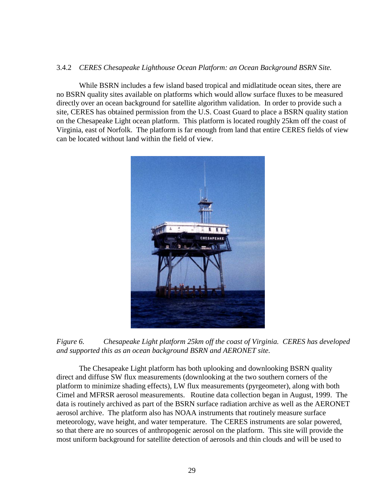# 3.4.2 *CERES Chesapeake Lighthouse Ocean Platform: an Ocean Background BSRN Site.*

 While BSRN includes a few island based tropical and midlatitude ocean sites, there are no BSRN quality sites available on platforms which would allow surface fluxes to be measured directly over an ocean background for satellite algorithm validation. In order to provide such a site, CERES has obtained permission from the U.S. Coast Guard to place a BSRN quality station on the Chesapeake Light ocean platform. This platform is located roughly 25km off the coast of Virginia, east of Norfolk. The platform is far enough from land that entire CERES fields of view can be located without land within the field of view.



*Figure 6. Chesapeake Light platform 25km off the coast of Virginia. CERES has developed and supported this as an ocean background BSRN and AERONET site.* 

The Chesapeake Light platform has both uplooking and downlooking BSRN quality direct and diffuse SW flux measurements (downlooking at the two southern corners of the platform to minimize shading effects), LW flux measurements (pyrgeometer), along with both Cimel and MFRSR aerosol measurements. Routine data collection began in August, 1999. The data is routinely archived as part of the BSRN surface radiation archive as well as the AERONET aerosol archive. The platform also has NOAA instruments that routinely measure surface meteorology, wave height, and water temperature. The CERES instruments are solar powered, so that there are no sources of anthropogenic aerosol on the platform. This site will provide the most uniform background for satellite detection of aerosols and thin clouds and will be used to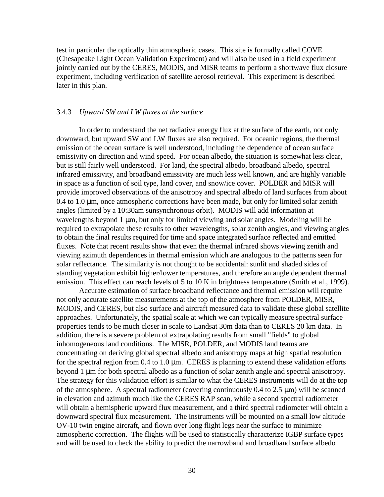test in particular the optically thin atmospheric cases. This site is formally called COVE (Chesapeake Light Ocean Validation Experiment) and will also be used in a field experiment jointly carried out by the CERES, MODIS, and MISR teams to perform a shortwave flux closure experiment, including verification of satellite aerosol retrieval. This experiment is described later in this plan.

#### 3.4.3 *Upward SW and LW fluxes at the surface*

 In order to understand the net radiative energy flux at the surface of the earth, not only downward, but upward SW and LW fluxes are also required. For oceanic regions, the thermal emission of the ocean surface is well understood, including the dependence of ocean surface emissivity on direction and wind speed. For ocean albedo, the situation is somewhat less clear, but is still fairly well understood. For land, the spectral albedo, broadband albedo, spectral infrared emissivity, and broadband emissivity are much less well known, and are highly variable in space as a function of soil type, land cover, and snow/ice cover. POLDER and MISR will provide improved observations of the anisotropy and spectral albedo of land surfaces from about  $0.4$  to  $1.0 \mu$ m, once atmospheric corrections have been made, but only for limited solar zenith angles (limited by a 10:30am sunsynchronous orbit). MODIS will add information at wavelengths beyond 1 µm, but only for limited viewing and solar angles. Modeling will be required to extrapolate these results to other wavelengths, solar zenith angles, and viewing angles to obtain the final results required for time and space integrated surface reflected and emitted fluxes. Note that recent results show that even the thermal infrared shows viewing zenith and viewing azimuth dependences in thermal emission which are analogous to the patterns seen for solar reflectance. The similarity is not thought to be accidental: sunlit and shaded sides of standing vegetation exhibit higher/lower temperatures, and therefore an angle dependent thermal emission. This effect can reach levels of 5 to 10 K in brightness temperature (Smith et al., 1999).

Accurate estimation of surface broadband reflectance and thermal emission will require not only accurate satellite measurements at the top of the atmosphere from POLDER, MISR, MODIS, and CERES, but also surface and aircraft measured data to validate these global satellite approaches. Unfortunately, the spatial scale at which we can typically measure spectral surface properties tends to be much closer in scale to Landsat 30m data than to CERES 20 km data. In addition, there is a severe problem of extrapolating results from small "fields" to global inhomogeneous land conditions. The MISR, POLDER, and MODIS land teams are concentrating on deriving global spectral albedo and anisotropy maps at high spatial resolution for the spectral region from  $0.4$  to  $1.0 \mu m$ . CERES is planning to extend these validation efforts beyond 1 µm for both spectral albedo as a function of solar zenith angle and spectral anisotropy. The strategy for this validation effort is similar to what the CERES instruments will do at the top of the atmosphere. A spectral radiometer (covering continuously  $0.4$  to  $2.5 \mu m$ ) will be scanned in elevation and azimuth much like the CERES RAP scan, while a second spectral radiometer will obtain a hemispheric upward flux measurement, and a third spectral radiometer will obtain a downward spectral flux measurement. The instruments will be mounted on a small low altitude OV-10 twin engine aircraft, and flown over long flight legs near the surface to minimize atmospheric correction. The flights will be used to statistically characterize IGBP surface types and will be used to check the ability to predict the narrowband and broadband surface albedo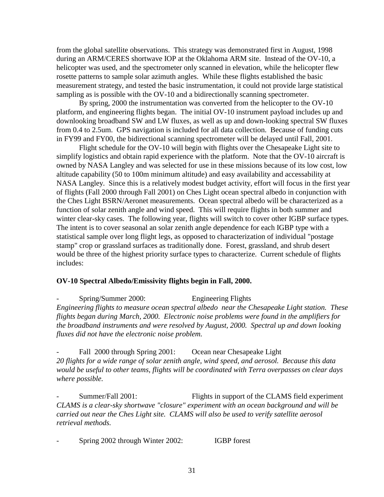from the global satellite observations. This strategy was demonstrated first in August, 1998 during an ARM/CERES shortwave IOP at the Oklahoma ARM site. Instead of the OV-10, a helicopter was used, and the spectrometer only scanned in elevation, while the helicopter flew rosette patterns to sample solar azimuth angles. While these flights established the basic measurement strategy, and tested the basic instrumentation, it could not provide large statistical sampling as is possible with the OV-10 and a bidirectionally scanning spectrometer.

By spring, 2000 the instrumentation was converted from the helicopter to the OV-10 platform, and engineering flights began. The initial OV-10 instrument payload includes up and downlooking broadband SW and LW fluxes, as well as up and down-looking spectral SW fluxes from 0.4 to 2.5um. GPS navigation is included for all data collection. Because of funding cuts in FY99 and FY00, the bidirectional scanning spectrometer will be delayed until Fall, 2001.

Flight schedule for the OV-10 will begin with flights over the Chesapeake Light site to simplify logistics and obtain rapid experience with the platform. Note that the OV-10 aircraft is owned by NASA Langley and was selected for use in these missions because of its low cost, low altitude capability (50 to 100m minimum altitude) and easy availability and accessability at NASA Langley. Since this is a relatively modest budget activity, effort will focus in the first year of flights (Fall 2000 through Fall 2001) on Ches Light ocean spectral albedo in conjunction with the Ches Light BSRN/Aeronet measurements. Ocean spectral albedo will be characterized as a function of solar zenith angle and wind speed. This will require flights in both summer and winter clear-sky cases. The following year, flights will switch to cover other IGBP surface types. The intent is to cover seasonal an solar zenith angle dependence for each IGBP type with a statistical sample over long flight legs, as opposed to characterization of individual "postage stamp" crop or grassland surfaces as traditionally done. Forest, grassland, and shrub desert would be three of the highest priority surface types to characterize. Current schedule of flights includes:

# **OV-10 Spectral Albedo/Emissivity flights begin in Fall, 2000.**

- Spring/Summer 2000: Engineering Flights *Engineering flights to measure ocean spectral albedo near the Chesapeake Light station. These flights began during March, 2000. Electronic noise problems were found in the amplifiers for the broadband instruments and were resolved by August, 2000. Spectral up and down looking fluxes did not have the electronic noise problem.* 

Fall 2000 through Spring 2001: Ocean near Chesapeake Light *20 flights for a wide range of solar zenith angle, wind speed, and aerosol. Because this data would be useful to other teams, flights will be coordinated with Terra overpasses on clear days where possible.*

Summer/Fall 2001: Flights in support of the CLAMS field experiment *CLAMS is a clear-sky shortwave "closure" experiment with an ocean background and will be carried out near the Ches Light site. CLAMS will also be used to verify satellite aerosol retrieval methods.* 

Spring 2002 through Winter 2002: **IGBP** forest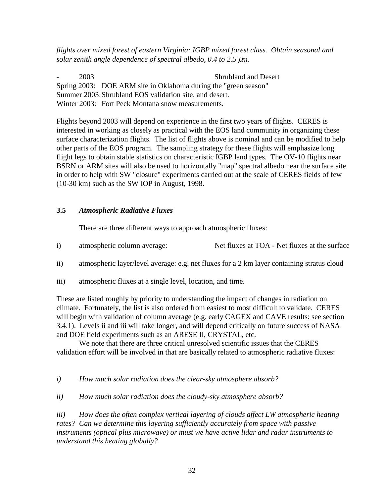*flights over mixed forest of eastern Virginia: IGBP mixed forest class. Obtain seasonal and solar zenith angle dependence of spectral albedo, 0.4 to 2.5* µ*m.* 

2003 Shrubland and Desert Spring 2003: DOE ARM site in Oklahoma during the "green season" Summer 2003: Shrubland EOS validation site, and desert. Winter 2003: Fort Peck Montana snow measurements.

Flights beyond 2003 will depend on experience in the first two years of flights. CERES is interested in working as closely as practical with the EOS land community in organizing these surface characterization flights. The list of flights above is nominal and can be modified to help other parts of the EOS program. The sampling strategy for these flights will emphasize long flight legs to obtain stable statistics on characteristic IGBP land types. The OV-10 flights near BSRN or ARM sites will also be used to horizontally "map" spectral albedo near the surface site in order to help with SW "closure" experiments carried out at the scale of CERES fields of few (10-30 km) such as the SW IOP in August, 1998.

# **3.5** *Atmospheric Radiative Fluxes*

There are three different ways to approach atmospheric fluxes:

- i) atmospheric column average: Net fluxes at TOA Net fluxes at the surface
- ii) atmospheric layer/level average: e.g. net fluxes for a 2 km layer containing stratus cloud
- iii) atmospheric fluxes at a single level, location, and time.

These are listed roughly by priority to understanding the impact of changes in radiation on climate. Fortunately, the list is also ordered from easiest to most difficult to validate. CERES will begin with validation of column average (e.g. early CAGEX and CAVE results: see section 3.4.1). Levels ii and iii will take longer, and will depend critically on future success of NASA and DOE field experiments such as an ARESE II, CRYSTAL, etc.

We note that there are three critical unresolved scientific issues that the CERES validation effort will be involved in that are basically related to atmospheric radiative fluxes:

*i) How much solar radiation does the clear-sky atmosphere absorb?* 

*ii) How much solar radiation does the cloudy-sky atmosphere absorb?* 

*iii) How does the often complex vertical layering of clouds affect LW atmospheric heating rates? Can we determine this layering sufficiently accurately from space with passive instruments (optical plus microwave) or must we have active lidar and radar instruments to understand this heating globally?*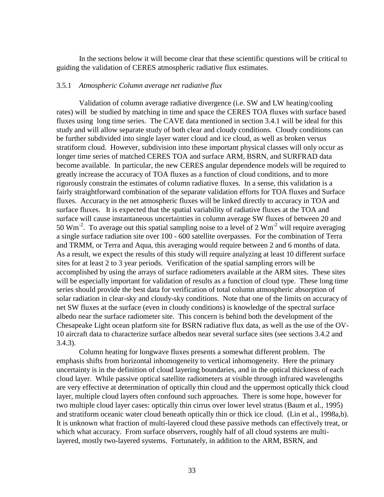In the sections below it will become clear that these scientific questions will be critical to guiding the validation of CERES atmospheric radiative flux estimates.

#### 3.5.1 *Atmospheric Column average net radiative flux*

Validation of column average radiative divergence (i.e. SW and LW heating/cooling rates) will be studied by matching in time and space the CERES TOA fluxes with surface based fluxes using long time series. The CAVE data mentioned in section 3.4.1 will be ideal for this study and will allow separate study of both clear and cloudy conditions. Cloudy conditions can be further subdivided into single layer water cloud and ice cloud, as well as broken versus stratiform cloud. However, subdivision into these important physical classes will only occur as longer time series of matched CERES TOA and surface ARM, BSRN, and SURFRAD data become available. In particular, the new CERES angular dependence models will be required to greatly increase the accuracy of TOA fluxes as a function of cloud conditions, and to more rigorously constrain the estimates of column radiative fluxes. In a sense, this validation is a fairly straightforward combination of the separate validation efforts for TOA fluxes and Surface fluxes. Accuracy in the net atmospheric fluxes will be linked directly to accuracy in TOA and surface fluxes. It is expected that the spatial variability of radiative fluxes at the TOA and surface will cause instantaneous uncertainties in column average SW fluxes of between 20 and 50 Wm<sup>-2</sup>. To average out this spatial sampling noise to a level of 2 Wm<sup>-2</sup> will require averaging a single surface radiation site over 100 - 600 satellite overpasses. For the combination of Terra and TRMM, or Terra and Aqua, this averaging would require between 2 and 6 months of data. As a result, we expect the results of this study will require analyzing at least 10 different surface sites for at least 2 to 3 year periods. Verification of the spatial sampling errors will be accomplished by using the arrays of surface radiometers available at the ARM sites. These sites will be especially important for validation of results as a function of cloud type. These long time series should provide the best data for verification of total column atmospheric absorption of solar radiation in clear-sky and cloudy-sky conditions. Note that one of the limits on accuracy of net SW fluxes at the surface (even in cloudy conditions) is knowledge of the spectral surface albedo near the surface radiometer site. This concern is behind both the development of the Chesapeake Light ocean platform site for BSRN radiative flux data, as well as the use of the OV-10 aircraft data to characterize surface albedos near several surface sites (see sections 3.4.2 and 3.4.3).

 Column heating for longwave fluxes presents a somewhat different problem. The emphasis shifts from horizontal inhomogeneity to vertical inhomogeneity. Here the primary uncertainty is in the definition of cloud layering boundaries, and in the optical thickness of each cloud layer. While passive optical satellite radiometers at visible through infrared wavelengths are very effective at determination of optically thin cloud and the uppermost optically thick cloud layer, multiple cloud layers often confound such approaches. There is some hope, however for two multiple cloud layer cases: optically thin cirrus over lower level stratus (Baum et al., 1995) and stratiform oceanic water cloud beneath optically thin or thick ice cloud. (Lin et al., 1998a,b). It is unknown what fraction of multi-layered cloud these passive methods can effectively treat, or which what accuracy. From surface observers, roughly half of all cloud systems are multilayered, mostly two-layered systems. Fortunately, in addition to the ARM, BSRN, and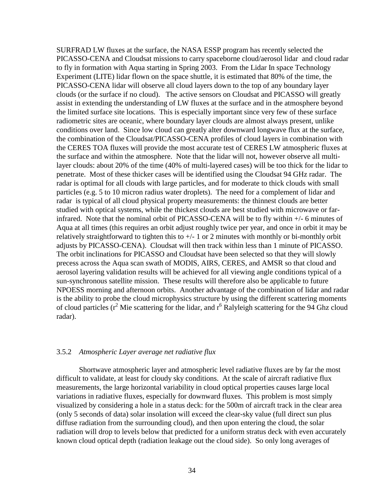SURFRAD LW fluxes at the surface, the NASA ESSP program has recently selected the PICASSO-CENA and Cloudsat missions to carry spaceborne cloud/aerosol lidar and cloud radar to fly in formation with Aqua starting in Spring 2003. From the Lidar In space Technology Experiment (LITE) lidar flown on the space shuttle, it is estimated that 80% of the time, the PICASSO-CENA lidar will observe all cloud layers down to the top of any boundary layer clouds (or the surface if no cloud). The active sensors on Cloudsat and PICASSO will greatly assist in extending the understanding of LW fluxes at the surface and in the atmosphere beyond the limited surface site locations. This is especially important since very few of these surface radiometric sites are oceanic, where boundary layer clouds are almost always present, unlike conditions over land. Since low cloud can greatly alter downward longwave flux at the surface, the combination of the Cloudsat/PICASSO-CENA profiles of cloud layers in combination with the CERES TOA fluxes will provide the most accurate test of CERES LW atmospheric fluxes at the surface and within the atmosphere. Note that the lidar will not, however observe all multilayer clouds: about 20% of the time (40% of multi-layered cases) will be too thick for the lidar to penetrate. Most of these thicker cases will be identified using the Cloudsat 94 GHz radar. The radar is optimal for all clouds with large particles, and for moderate to thick clouds with small particles (e.g. 5 to 10 micron radius water droplets). The need for a complement of lidar and radar is typical of all cloud physical property measurements: the thinnest clouds are better studied with optical systems, while the thickest clouds are best studied with microwave or farinfrared. Note that the nominal orbit of PICASSO-CENA will be to fly within +/- 6 minutes of Aqua at all times (this requires an orbit adjust roughly twice per year, and once in orbit it may be relatively straightforward to tighten this to  $+/- 1$  or 2 minutes with monthly or bi-monthly orbit adjusts by PICASSO-CENA). Cloudsat will then track within less than 1 minute of PICASSO. The orbit inclinations for PICASSO and Cloudsat have been selected so that they will slowly precess across the Aqua scan swath of MODIS, AIRS, CERES, and AMSR so that cloud and aerosol layering validation results will be achieved for all viewing angle conditions typical of a sun-synchronous satellite mission. These results will therefore also be applicable to future NPOESS morning and afternoon orbits. Another advantage of the combination of lidar and radar is the ability to probe the cloud microphysics structure by using the different scattering moments of cloud particles ( $r^2$  Mie scattering for the lidar, and  $r^6$  Ralyleigh scattering for the 94 Ghz cloud radar).

# 3.5.2 *Atmospheric Layer average net radiative flux*

Shortwave atmospheric layer and atmospheric level radiative fluxes are by far the most difficult to validate, at least for cloudy sky conditions. At the scale of aircraft radiative flux measurements, the large horizontal variability in cloud optical properties causes large local variations in radiative fluxes, especially for downward fluxes. This problem is most simply visualized by considering a hole in a status deck: for the 500m of aircraft track in the clear area (only 5 seconds of data) solar insolation will exceed the clear-sky value (full direct sun plus diffuse radiation from the surrounding cloud), and then upon entering the cloud, the solar radiation will drop to levels below that predicted for a uniform stratus deck with even accurately known cloud optical depth (radiation leakage out the cloud side). So only long averages of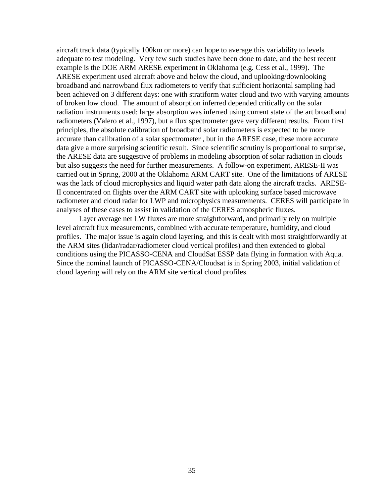aircraft track data (typically 100km or more) can hope to average this variability to levels adequate to test modeling. Very few such studies have been done to date, and the best recent example is the DOE ARM ARESE experiment in Oklahoma (e.g. Cess et al., 1999). The ARESE experiment used aircraft above and below the cloud, and uplooking/downlooking broadband and narrowband flux radiometers to verify that sufficient horizontal sampling had been achieved on 3 different days: one with stratiform water cloud and two with varying amounts of broken low cloud. The amount of absorption inferred depended critically on the solar radiation instruments used: large absorption was inferred using current state of the art broadband radiometers (Valero et al., 1997), but a flux spectrometer gave very different results. From first principles, the absolute calibration of broadband solar radiometers is expected to be more accurate than calibration of a solar spectrometer , but in the ARESE case, these more accurate data give a more surprising scientific result. Since scientific scrutiny is proportional to surprise, the ARESE data are suggestive of problems in modeling absorption of solar radiation in clouds but also suggests the need for further measurements. A follow-on experiment, ARESE-II was carried out in Spring, 2000 at the Oklahoma ARM CART site. One of the limitations of ARESE was the lack of cloud microphysics and liquid water path data along the aircraft tracks. ARESE-II concentrated on flights over the ARM CART site with uplooking surface based microwave radiometer and cloud radar for LWP and microphysics measurements. CERES will participate in analyses of these cases to assist in validation of the CERES atmospheric fluxes.

Layer average net LW fluxes are more straightforward, and primarily rely on multiple level aircraft flux measurements, combined with accurate temperature, humidity, and cloud profiles. The major issue is again cloud layering, and this is dealt with most straightforwardly at the ARM sites (lidar/radar/radiometer cloud vertical profiles) and then extended to global conditions using the PICASSO-CENA and CloudSat ESSP data flying in formation with Aqua. Since the nominal launch of PICASSO-CENA/Cloudsat is in Spring 2003, initial validation of cloud layering will rely on the ARM site vertical cloud profiles.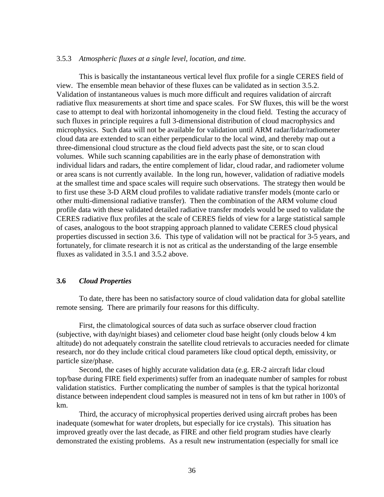#### 3.5.3 *Atmospheric fluxes at a single level, location, and time.*

This is basically the instantaneous vertical level flux profile for a single CERES field of view. The ensemble mean behavior of these fluxes can be validated as in section 3.5.2. Validation of instantaneous values is much more difficult and requires validation of aircraft radiative flux measurements at short time and space scales. For SW fluxes, this will be the worst case to attempt to deal with horizontal inhomogeneity in the cloud field. Testing the accuracy of such fluxes in principle requires a full 3-dimensional distribution of cloud macrophysics and microphysics. Such data will not be available for validation until ARM radar/lidar/radiometer cloud data are extended to scan either perpendicular to the local wind, and thereby map out a three-dimensional cloud structure as the cloud field advects past the site, or to scan cloud volumes. While such scanning capabilities are in the early phase of demonstration with individual lidars and radars, the entire complement of lidar, cloud radar, and radiometer volume or area scans is not currently available. In the long run, however, validation of radiative models at the smallest time and space scales will require such observations. The strategy then would be to first use these 3-D ARM cloud profiles to validate radiative transfer models (monte carlo or other multi-dimensional radiative transfer). Then the combination of the ARM volume cloud profile data with these validated detailed radiative transfer models would be used to validate the CERES radiative flux profiles at the scale of CERES fields of view for a large statistical sample of cases, analogous to the boot strapping approach planned to validate CERES cloud physical properties discussed in section 3.6. This type of validation will not be practical for 3-5 years, and fortunately, for climate research it is not as critical as the understanding of the large ensemble fluxes as validated in 3.5.1 and 3.5.2 above.

# **3.6** *Cloud Properties*

To date, there has been no satisfactory source of cloud validation data for global satellite remote sensing. There are primarily four reasons for this difficulty.

First, the climatological sources of data such as surface observer cloud fraction (subjective, with day/night biases) and celiometer cloud base height (only clouds below 4 km altitude) do not adequately constrain the satellite cloud retrievals to accuracies needed for climate research, nor do they include critical cloud parameters like cloud optical depth, emissivity, or particle size/phase.

Second, the cases of highly accurate validation data (e.g. ER-2 aircraft lidar cloud top/base during FIRE field experiments) suffer from an inadequate number of samples for robust validation statistics. Further complicating the number of samples is that the typical horizontal distance between independent cloud samples is measured not in tens of km but rather in 100's of km.

Third, the accuracy of microphysical properties derived using aircraft probes has been inadequate (somewhat for water droplets, but especially for ice crystals). This situation has improved greatly over the last decade, as FIRE and other field program studies have clearly demonstrated the existing problems. As a result new instrumentation (especially for small ice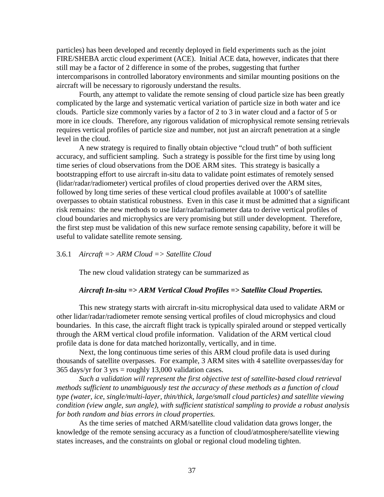particles) has been developed and recently deployed in field experiments such as the joint FIRE/SHEBA arctic cloud experiment (ACE). Initial ACE data, however, indicates that there still may be a factor of 2 difference in some of the probes, suggesting that further intercomparisons in controlled laboratory environments and similar mounting positions on the aircraft will be necessary to rigorously understand the results.

Fourth, any attempt to validate the remote sensing of cloud particle size has been greatly complicated by the large and systematic vertical variation of particle size in both water and ice clouds. Particle size commonly varies by a factor of 2 to 3 in water cloud and a factor of 5 or more in ice clouds. Therefore, any rigorous validation of microphysical remote sensing retrievals requires vertical profiles of particle size and number, not just an aircraft penetration at a single level in the cloud.

A new strategy is required to finally obtain objective "cloud truth" of both sufficient accuracy, and sufficient sampling. Such a strategy is possible for the first time by using long time series of cloud observations from the DOE ARM sites. This strategy is basically a bootstrapping effort to use aircraft in-situ data to validate point estimates of remotely sensed (lidar/radar/radiometer) vertical profiles of cloud properties derived over the ARM sites, followed by long time series of these vertical cloud profiles available at 1000's of satellite overpasses to obtain statistical robustness. Even in this case it must be admitted that a significant risk remains: the new methods to use lidar/radar/radiometer data to derive vertical profiles of cloud boundaries and microphysics are very promising but still under development. Therefore, the first step must be validation of this new surface remote sensing capability, before it will be useful to validate satellite remote sensing.

#### 3.6.1 *Aircraft => ARM Cloud => Satellite Cloud*

The new cloud validation strategy can be summarized as

#### *Aircraft In-situ => ARM Vertical Cloud Profiles => Satellite Cloud Properties.*

This new strategy starts with aircraft in-situ microphysical data used to validate ARM or other lidar/radar/radiometer remote sensing vertical profiles of cloud microphysics and cloud boundaries. In this case, the aircraft flight track is typically spiraled around or stepped vertically through the ARM vertical cloud profile information. Validation of the ARM vertical cloud profile data is done for data matched horizontally, vertically, and in time.

Next, the long continuous time series of this ARM cloud profile data is used during thousands of satellite overpasses. For example, 3 ARM sites with 4 satellite overpasses/day for 365 days/yr for 3 yrs = roughly 13,000 validation cases.

*Such a validation will represent the first objective test of satellite-based cloud retrieval methods sufficient to unambiguously test the accuracy of these methods as a function of cloud type (water, ice, single/multi-layer, thin/thick, large/small cloud particles) and satellite viewing condition (view angle, sun angle), with sufficient statistical sampling to provide a robust analysis for both random and bias errors in cloud properties.* 

As the time series of matched ARM/satellite cloud validation data grows longer, the knowledge of the remote sensing accuracy as a function of cloud/atmosphere/satellite viewing states increases, and the constraints on global or regional cloud modeling tighten.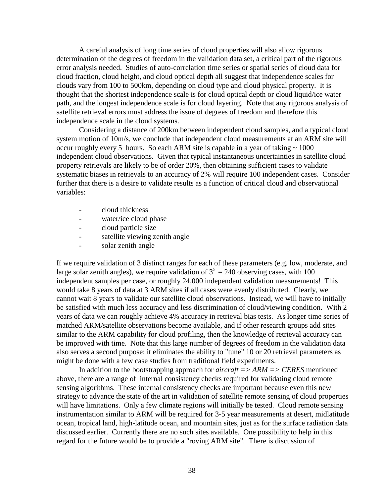A careful analysis of long time series of cloud properties will also allow rigorous determination of the degrees of freedom in the validation data set, a critical part of the rigorous error analysis needed. Studies of auto-correlation time series or spatial series of cloud data for cloud fraction, cloud height, and cloud optical depth all suggest that independence scales for clouds vary from 100 to 500km, depending on cloud type and cloud physical property. It is thought that the shortest independence scale is for cloud optical depth or cloud liquid/ice water path, and the longest independence scale is for cloud layering. Note that any rigorous analysis of satellite retrieval errors must address the issue of degrees of freedom and therefore this independence scale in the cloud systems.

Considering a distance of 200km between independent cloud samples, and a typical cloud system motion of 10m/s, we conclude that independent cloud measurements at an ARM site will occur roughly every 5 hours. So each ARM site is capable in a year of taking  $\sim 1000$ independent cloud observations. Given that typical instantaneous uncertainties in satellite cloud property retrievals are likely to be of order 20%, then obtaining sufficient cases to validate systematic biases in retrievals to an accuracy of 2% will require 100 independent cases. Consider further that there is a desire to validate results as a function of critical cloud and observational variables:

- cloud thickness
- water/ice cloud phase
- cloud particle size
- satellite viewing zenith angle
- solar zenith angle

If we require validation of 3 distinct ranges for each of these parameters (e.g. low, moderate, and large solar zenith angles), we require validation of  $3^5 = 240$  observing cases, with 100 independent samples per case, or roughly 24,000 independent validation measurements! This would take 8 years of data at 3 ARM sites if all cases were evenly distributed. Clearly, we cannot wait 8 years to validate our satellite cloud observations. Instead, we will have to initially be satisfied with much less accuracy and less discrimination of cloud/viewing condition. With 2 years of data we can roughly achieve 4% accuracy in retrieval bias tests. As longer time series of matched ARM/satellite observations become available, and if other research groups add sites similar to the ARM capability for cloud profiling, then the knowledge of retrieval accuracy can be improved with time. Note that this large number of degrees of freedom in the validation data also serves a second purpose: it eliminates the ability to "tune" 10 or 20 retrieval parameters as might be done with a few case studies from traditional field experiments.

 In addition to the bootstrapping approach for *aircraft => ARM => CERES* mentioned above, there are a range of internal consistency checks required for validating cloud remote sensing algorithms. These internal consistency checks are important because even this new strategy to advance the state of the art in validation of satellite remote sensing of cloud properties will have limitations. Only a few climate regions will initially be tested. Cloud remote sensing instrumentation similar to ARM will be required for 3-5 year measurements at desert, midlatitude ocean, tropical land, high-latitude ocean, and mountain sites, just as for the surface radiation data discussed earlier. Currently there are no such sites available. One possibility to help in this regard for the future would be to provide a "roving ARM site". There is discussion of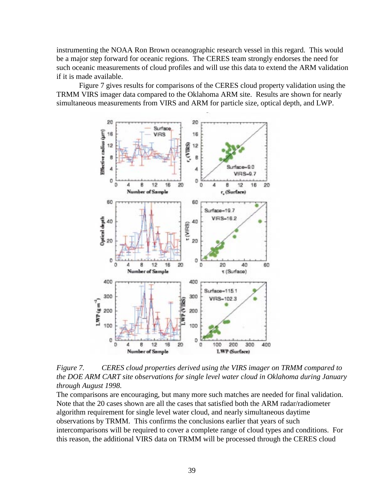instrumenting the NOAA Ron Brown oceanographic research vessel in this regard. This would be a major step forward for oceanic regions. The CERES team strongly endorses the need for such oceanic measurements of cloud profiles and will use this data to extend the ARM validation if it is made available.

 Figure 7 gives results for comparisons of the CERES cloud property validation using the TRMM VIRS imager data compared to the Oklahoma ARM site. Results are shown for nearly simultaneous measurements from VIRS and ARM for particle size, optical depth, and LWP.



*Figure 7. CERES cloud properties derived using the VIRS imager on TRMM compared to the DOE ARM CART site observations for single level water cloud in Oklahoma during January through August 1998.* 

The comparisons are encouraging, but many more such matches are needed for final validation. Note that the 20 cases shown are all the cases that satisfied both the ARM radar/radiometer algorithm requirement for single level water cloud, and nearly simultaneous daytime observations by TRMM. This confirms the conclusions earlier that years of such intercomparisons will be required to cover a complete range of cloud types and conditions. For this reason, the additional VIRS data on TRMM will be processed through the CERES cloud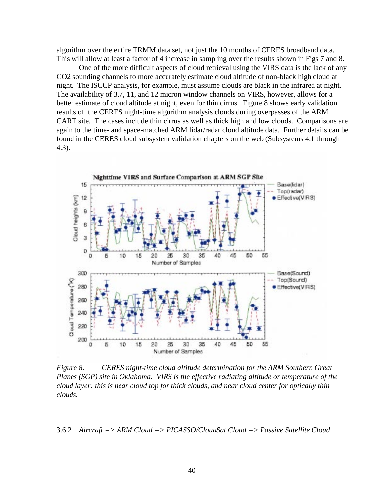algorithm over the entire TRMM data set, not just the 10 months of CERES broadband data. This will allow at least a factor of 4 increase in sampling over the results shown in Figs 7 and 8.

 One of the more difficult aspects of cloud retrieval using the VIRS data is the lack of any CO2 sounding channels to more accurately estimate cloud altitude of non-black high cloud at night. The ISCCP analysis, for example, must assume clouds are black in the infrared at night. The availability of 3.7, 11, and 12 micron window channels on VIRS, however, allows for a better estimate of cloud altitude at night, even for thin cirrus. Figure 8 shows early validation results of the CERES night-time algorithm analysis clouds during overpasses of the ARM CART site. The cases include thin cirrus as well as thick high and low clouds. Comparisons are again to the time- and space-matched ARM lidar/radar cloud altitude data. Further details can be found in the CERES cloud subsystem validation chapters on the web (Subsystems 4.1 through 4.3).



*Figure 8. CERES night-time cloud altitude determination for the ARM Southern Great Planes (SGP) site in Oklahoma. VIRS is the effective radiating altitude or temperature of the cloud layer: this is near cloud top for thick clouds, and near cloud center for optically thin clouds.* 

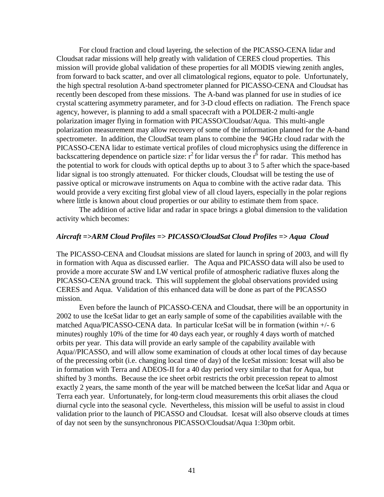For cloud fraction and cloud layering, the selection of the PICASSO-CENA lidar and Cloudsat radar missions will help greatly with validation of CERES cloud properties. This mission will provide global validation of these properties for all MODIS viewing zenith angles, from forward to back scatter, and over all climatological regions, equator to pole. Unfortunately, the high spectral resolution A-band spectrometer planned for PICASSO-CENA and Cloudsat has recently been descoped from these missions. The A-band was planned for use in studies of ice crystal scattering asymmetry parameter, and for 3-D cloud effects on radiation. The French space agency, however, is planning to add a small spacecraft with a POLDER-2 multi-angle polarization imager flying in formation with PICASSO/Cloudsat/Aqua. This multi-angle polarization measurement may allow recovery of some of the information planned for the A-band spectrometer. In addition, the CloudSat team plans to combine the 94GHz cloud radar with the PICASSO-CENA lidar to estimate vertical profiles of cloud microphysics using the difference in backscattering dependence on particle size:  $r^2$  for lidar versus the  $r^6$  for radar. This method has the potential to work for clouds with optical depths up to about 3 to 5 after which the space-based lidar signal is too strongly attenuated. For thicker clouds, Cloudsat will be testing the use of passive optical or microwave instruments on Aqua to combine with the active radar data. This would provide a very exciting first global view of all cloud layers, especially in the polar regions where little is known about cloud properties or our ability to estimate them from space.

The addition of active lidar and radar in space brings a global dimension to the validation activity which becomes:

# *Aircraft =>ARM Cloud Profiles => PICASSO/CloudSat Cloud Profiles => Aqua Cloud*

The PICASSO-CENA and Cloudsat missions are slated for launch in spring of 2003, and will fly in formation with Aqua as discussed earlier. The Aqua and PICASSO data will also be used to provide a more accurate SW and LW vertical profile of atmospheric radiative fluxes along the PICASSO-CENA ground track. This will supplement the global observations provided using CERES and Aqua. Validation of this enhanced data will be done as part of the PICASSO mission.

 Even before the launch of PICASSO-CENA and Cloudsat, there will be an opportunity in 2002 to use the IceSat lidar to get an early sample of some of the capabilities available with the matched Aqua/PICASSO-CENA data. In particular IceSat will be in formation (within +/- 6 minutes) roughly 10% of the time for 40 days each year, or roughly 4 days worth of matched orbits per year. This data will provide an early sample of the capability available with Aqua//PICASSO, and will allow some examination of clouds at other local times of day because of the precessing orbit (i.e. changing local time of day) of the IceSat mission: Icesat will also be in formation with Terra and ADEOS-II for a 40 day period very similar to that for Aqua, but shifted by 3 months. Because the ice sheet orbit restricts the orbit precession repeat to almost exactly 2 years, the same month of the year will be matched between the IceSat lidar and Aqua or Terra each year. Unfortunately, for long-term cloud measurements this orbit aliases the cloud diurnal cycle into the seasonal cycle. Nevertheless, this mission will be useful to assist in cloud validation prior to the launch of PICASSO and Cloudsat. Icesat will also observe clouds at times of day not seen by the sunsynchronous PICASSO/Cloudsat/Aqua 1:30pm orbit.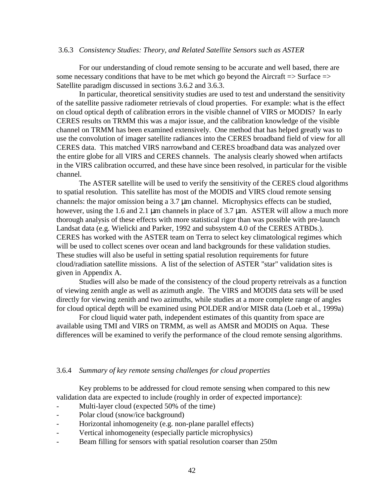#### 3.6.3 *Consistency Studies: Theory, and Related Satellite Sensors such as ASTER*

 For our understanding of cloud remote sensing to be accurate and well based, there are some necessary conditions that have to be met which go beyond the Aircraft  $\Rightarrow$  Surface  $\Rightarrow$ Satellite paradigm discussed in sections 3.6.2 and 3.6.3.

 In particular, theoretical sensitivity studies are used to test and understand the sensitivity of the satellite passive radiometer retrievals of cloud properties. For example: what is the effect on cloud optical depth of calibration errors in the visible channel of VIRS or MODIS? In early CERES results on TRMM this was a major issue, and the calibration knowledge of the visible channel on TRMM has been examined extensively. One method that has helped greatly was to use the convolution of imager satellite radiances into the CERES broadband field of view for all CERES data. This matched VIRS narrowband and CERES broadband data was analyzed over the entire globe for all VIRS and CERES channels. The analysis clearly showed when artifacts in the VIRS calibration occurred, and these have since been resolved, in particular for the visible channel.

 The ASTER satellite will be used to verify the sensitivity of the CERES cloud algorithms to spatial resolution. This satellite has most of the MODIS and VIRS cloud remote sensing channels: the major omission being a 3.7 µm channel. Microphysics effects can be studied, however, using the 1.6 and 2.1 µm channels in place of 3.7 µm. ASTER will allow a much more thorough analysis of these effects with more statistical rigor than was possible with pre-launch Landsat data (e.g. Wielicki and Parker, 1992 and subsystem 4.0 of the CERES ATBDs.). CERES has worked with the ASTER team on Terra to select key climatological regimes which will be used to collect scenes over ocean and land backgrounds for these validation studies. These studies will also be useful in setting spatial resolution requirements for future cloud/radiation satellite missions. A list of the selection of ASTER "star" validation sites is given in Appendix A.

 Studies will also be made of the consistency of the cloud property retreivals as a function of viewing zenith angle as well as azimuth angle. The VIRS and MODIS data sets will be used directly for viewing zenith and two azimuths, while studies at a more complete range of angles for cloud optical depth will be examined using POLDER and/or MISR data (Loeb et al., 1999a)

 For cloud liquid water path, independent estimates of this quantity from space are available using TMI and VIRS on TRMM, as well as AMSR and MODIS on Aqua. These differences will be examined to verify the performance of the cloud remote sensing algorithms.

#### 3.6.4 *Summary of key remote sensing challenges for cloud properties*

 Key problems to be addressed for cloud remote sensing when compared to this new validation data are expected to include (roughly in order of expected importance):

- Multi-layer cloud (expected 50% of the time)
- Polar cloud (snow/ice background)
- Horizontal inhomogeneity (e.g. non-plane parallel effects)
- Vertical inhomogeneity (especially particle microphysics)
- Beam filling for sensors with spatial resolution coarser than 250m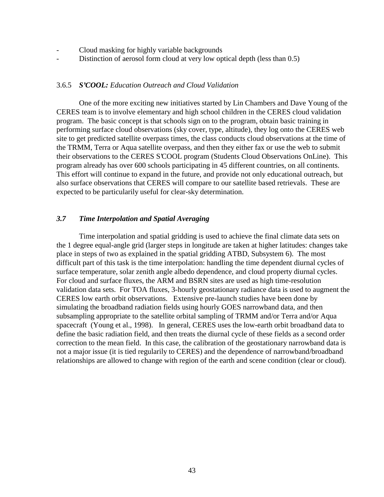- Cloud masking for highly variable backgrounds
- Distinction of aerosol form cloud at very low optical depth (less than 0.5)

#### 3.6.5 *S'COOL: Education Outreach and Cloud Validation*

One of the more exciting new initiatives started by Lin Chambers and Dave Young of the CERES team is to involve elementary and high school children in the CERES cloud validation program. The basic concept is that schools sign on to the program, obtain basic training in performing surface cloud observations (sky cover, type, altitude), they log onto the CERES web site to get predicted satellite overpass times, the class conducts cloud observations at the time of the TRMM, Terra or Aqua satellite overpass, and then they either fax or use the web to submit their observations to the CERES S'COOL program (Students Cloud Observations OnLine). This program already has over 600 schools participating in 45 different countries, on all continents. This effort will continue to expand in the future, and provide not only educational outreach, but also surface observations that CERES will compare to our satellite based retrievals. These are expected to be particularily useful for clear-sky determination.

# *3.7 Time Interpolation and Spatial Averaging*

Time interpolation and spatial gridding is used to achieve the final climate data sets on the 1 degree equal-angle grid (larger steps in longitude are taken at higher latitudes: changes take place in steps of two as explained in the spatial gridding ATBD, Subsystem 6). The most difficult part of this task is the time interpolation: handling the time dependent diurnal cycles of surface temperature, solar zenith angle albedo dependence, and cloud property diurnal cycles. For cloud and surface fluxes, the ARM and BSRN sites are used as high time-resolution validation data sets. For TOA fluxes, 3-hourly geostationary radiance data is used to augment the CERES low earth orbit observations. Extensive pre-launch studies have been done by simulating the broadband radiation fields using hourly GOES narrowband data, and then subsampling appropriate to the satellite orbital sampling of TRMM and/or Terra and/or Aqua spacecraft (Young et al., 1998). In general, CERES uses the low-earth orbit broadband data to define the basic radiation field, and then treats the diurnal cycle of these fields as a second order correction to the mean field. In this case, the calibration of the geostationary narrowband data is not a major issue (it is tied regularily to CERES) and the dependence of narrowband/broadband relationships are allowed to change with region of the earth and scene condition (clear or cloud).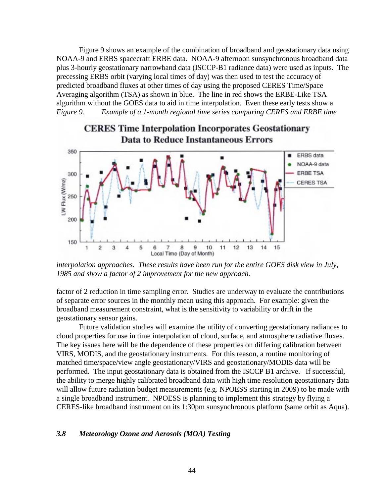Figure 9 shows an example of the combination of broadband and geostationary data using NOAA-9 and ERBS spacecraft ERBE data. NOAA-9 afternoon sunsynchronous broadband data plus 3-hourly geostationary narrowband data (ISCCP-B1 radiance data) were used as inputs. The precessing ERBS orbit (varying local times of day) was then used to test the accuracy of predicted broadband fluxes at other times of day using the proposed CERES Time/Space Averaging algorithm (TSA) as shown in blue. The line in red shows the ERBE-Like TSA algorithm without the GOES data to aid in time interpolation. Even these early tests show a *Figure 9. Example of a 1-month regional time series comparing CERES and ERBE time* 



# **CERES Time Interpolation Incorporates Geostationary Data to Reduce Instantaneous Errors**

*interpolation approaches. These results have been run for the entire GOES disk view in July, 1985 and show a factor of 2 improvement for the new approach.* 

factor of 2 reduction in time sampling error. Studies are underway to evaluate the contributions of separate error sources in the monthly mean using this approach. For example: given the broadband measurement constraint, what is the sensitivity to variability or drift in the geostationary sensor gains.

Future validation studies will examine the utility of converting geostationary radiances to cloud properties for use in time interpolation of cloud, surface, and atmosphere radiative fluxes. The key issues here will be the dependence of these properties on differing calibration between VIRS, MODIS, and the geostationary instruments. For this reason, a routine monitoring of matched time/space/view angle geostationary/VIRS and geostationary/MODIS data will be performed. The input geostationary data is obtained from the ISCCP B1 archive. If successful, the ability to merge highly calibrated broadband data with high time resolution geostationary data will allow future radiation budget measurements (e.g. NPOESS starting in 2009) to be made with a single broadband instrument. NPOESS is planning to implement this strategy by flying a CERES-like broadband instrument on its 1:30pm sunsynchronous platform (same orbit as Aqua).

#### *3.8 Meteorology Ozone and Aerosols (MOA) Testing*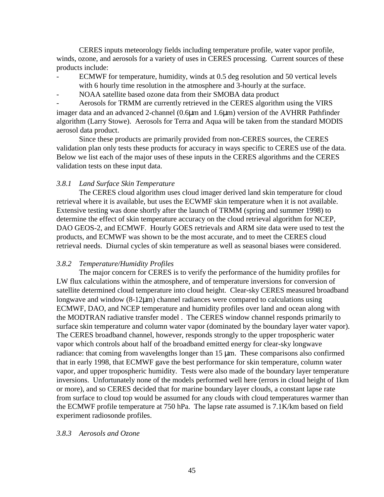CERES inputs meteorology fields including temperature profile, water vapor profile, winds, ozone, and aerosols for a variety of uses in CERES processing. Current sources of these products include:

- ECMWF for temperature, humidity, winds at 0.5 deg resolution and 50 vertical levels with 6 hourly time resolution in the atmosphere and 3-hourly at the surface.
- NOAA satellite based ozone data from their SMOBA data product

Aerosols for TRMM are currently retrieved in the CERES algorithm using the VIRS imager data and an advanced 2-channel (0.6µm and 1.6µm) version of the AVHRR Pathfinder algorithm (Larry Stowe). Aerosols for Terra and Aqua will be taken from the standard MODIS aerosol data product.

 Since these products are primarily provided from non-CERES sources, the CERES validation plan only tests these products for accuracy in ways specific to CERES use of the data. Below we list each of the major uses of these inputs in the CERES algorithms and the CERES validation tests on these input data.

# *3.8.1 Land Surface Skin Temperature*

 The CERES cloud algorithm uses cloud imager derived land skin temperature for cloud retrieval where it is available, but uses the ECWMF skin temperature when it is not available. Extensive testing was done shortly after the launch of TRMM (spring and summer 1998) to determine the effect of skin temperature accuracy on the cloud retrieval algorithm for NCEP, DAO GEOS-2, and ECMWF. Hourly GOES retrievals and ARM site data were used to test the products, and ECMWF was shown to be the most accurate, and to meet the CERES cloud retrieval needs. Diurnal cycles of skin temperature as well as seasonal biases were considered.

# *3.8.2 Temperature/Humidity Profiles*

 The major concern for CERES is to verify the performance of the humidity profiles for LW flux calculations within the atmosphere, and of temperature inversions for conversion of satellite determined cloud temperature into cloud height. Clear-sky CERES measured broadband longwave and window (8-12µm) channel radiances were compared to calculations using ECMWF, DAO, and NCEP temperature and humidity profiles over land and ocean along with the MODTRAN radiative transfer model . The CERES window channel responds primarily to surface skin temperature and column water vapor (dominated by the boundary layer water vapor). The CERES broadband channel, however, responds strongly to the upper tropospheric water vapor which controls about half of the broadband emitted energy for clear-sky longwave radiance: that coming from wavelengths longer than 15  $\mu$ m. These comparisons also confirmed that in early 1998, that ECMWF gave the best performance for skin temperature, column water vapor, and upper tropospheric humidity. Tests were also made of the boundary layer temperature inversions. Unfortunately none of the models performed well here (errors in cloud height of 1km or more), and so CERES decided that for marine boundary layer clouds, a constant lapse rate from surface to cloud top would be assumed for any clouds with cloud temperatures warmer than the ECMWF profile temperature at 750 hPa. The lapse rate assumed is 7.1K/km based on field experiment radiosonde profiles.

# *3.8.3 Aerosols and Ozone*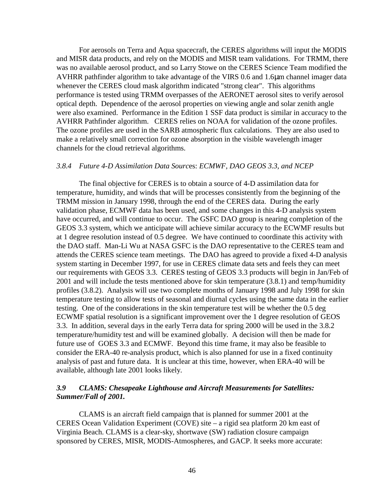For aerosols on Terra and Aqua spacecraft, the CERES algorithms will input the MODIS and MISR data products, and rely on the MODIS and MISR team validations. For TRMM, there was no available aerosol product, and so Larry Stowe on the CERES Science Team modified the AVHRR pathfinder algorithm to take advantage of the VIRS 0.6 and 1.6µm channel imager data whenever the CERES cloud mask algorithm indicated "strong clear". This algorithms performance is tested using TRMM overpasses of the AERONET aerosol sites to verify aerosol optical depth. Dependence of the aerosol properties on viewing angle and solar zenith angle were also examined. Performance in the Edition 1 SSF data product is similar in accuracy to the AVHRR Pathfinder algorithm. CERES relies on NOAA for validation of the ozone profiles. The ozone profiles are used in the SARB atmospheric flux calculations. They are also used to make a relatively small correction for ozone absorption in the visible wavelength imager channels for the cloud retrieval algorithms.

#### *3.8.4 Future 4-D Assimilation Data Sourc*es: *ECMWF, DAO GEOS 3.3, and NCEP*

 The final objective for CERES is to obtain a source of 4-D assimilation data for temperature, humidity, and winds that will be processes consistently from the beginning of the TRMM mission in January 1998, through the end of the CERES data. During the early validation phase, ECMWF data has been used, and some changes in this 4-D analysis system have occurred, and will continue to occur. The GSFC DAO group is nearing completion of the GEOS 3.3 system, which we anticipate will achieve similar accuracy to the ECWMF results but at 1 degree resolution instead of 0.5 degree. We have continued to coordinate this activity with the DAO staff. Man-Li Wu at NASA GSFC is the DAO representative to the CERES team and attends the CERES science team meetings. The DAO has agreed to provide a fixed 4-D analysis system starting in December 1997, for use in CERES climate data sets and feels they can meet our requirements with GEOS 3.3. CERES testing of GEOS 3.3 products will begin in Jan/Feb of 2001 and will include the tests mentioned above for skin temperature (3.8.1) and temp/humidity profiles (3.8.2). Analysis will use two complete months of January 1998 and July 1998 for skin temperature testing to allow tests of seasonal and diurnal cycles using the same data in the earlier testing. One of the considerations in the skin temperature test will be whether the 0.5 deg ECWMF spatial resolution is a significant improvement over the 1 degree resolution of GEOS 3.3. In addition, several days in the early Terra data for spring 2000 will be used in the 3.8.2 temperature/humidity test and will be examined globally. A decision will then be made for future use of GOES 3.3 and ECMWF. Beyond this time frame, it may also be feasible to consider the ERA-40 re-analysis product, which is also planned for use in a fixed continuity analysis of past and future data. It is unclear at this time, however, when ERA-40 will be available, although late 2001 looks likely.

# *3.9 CLAMS: Chesapeake Lighthouse and Aircraft Measurements for Satellites: Summer/Fall of 2001.*

CLAMS is an aircraft field campaign that is planned for summer 2001 at the CERES Ocean Validation Experiment (COVE) site – a rigid sea platform 20 km east of Virginia Beach. CLAMS is a clear-sky, shortwave (SW) radiation closure campaign sponsored by CERES, MISR, MODIS-Atmospheres, and GACP. It seeks more accurate: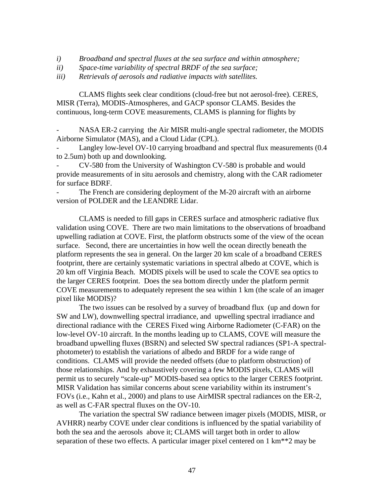- *i) Broadband and spectral fluxes at the sea surface and within atmosphere;*
- *ii) Space-time variability of spectral BRDF of the sea surface;*
- *iii) Retrievals of aerosols and radiative impacts with satellites.*

CLAMS flights seek clear conditions (cloud-free but not aerosol-free). CERES, MISR (Terra), MODIS-Atmospheres, and GACP sponsor CLAMS. Besides the continuous, long-term COVE measurements, CLAMS is planning for flights by

NASA ER-2 carrying the Air MISR multi-angle spectral radiometer, the MODIS Airborne Simulator (MAS), and a Cloud Lidar (CPL).

Langley low-level OV-10 carrying broadband and spectral flux measurements (0.4 to 2.5um) both up and downlooking.

- CV-580 from the University of Washington CV-580 is probable and would provide measurements of in situ aerosols and chemistry, along with the CAR radiometer for surface BDRF.

The French are considering deployment of the M-20 aircraft with an airborne version of POLDER and the LEANDRE Lidar.

CLAMS is needed to fill gaps in CERES surface and atmospheric radiative flux validation using COVE. There are two main limitations to the observations of broadband upwelling radiation at COVE. First, the platform obstructs some of the view of the ocean surface. Second, there are uncertainties in how well the ocean directly beneath the platform represents the sea in general. On the larger 20 km scale of a broadband CERES footprint, there are certainly systematic variations in spectral albedo at COVE, which is 20 km off Virginia Beach. MODIS pixels will be used to scale the COVE sea optics to the larger CERES footprint. Does the sea bottom directly under the platform permit COVE measurements to adequately represent the sea within 1 km (the scale of an imager pixel like MODIS)?

The two issues can be resolved by a survey of broadband flux (up and down for SW and LW), downwelling spectral irradiance, and upwelling spectral irradiance and directional radiance with the CERES Fixed wing Airborne Radiometer (C-FAR) on the low-level OV-10 aircraft. In the months leading up to CLAMS, COVE will measure the broadband upwelling fluxes (BSRN) and selected SW spectral radiances (SP1-A spectralphotometer) to establish the variations of albedo and BRDF for a wide range of conditions. CLAMS will provide the needed offsets (due to platform obstruction) of those relationships. And by exhaustively covering a few MODIS pixels, CLAMS will permit us to securely "scale-up" MODIS-based sea optics to the larger CERES footprint. MISR Validation has similar concerns about scene variability within its instrument's FOVs (i.e., Kahn et al., 2000) and plans to use AirMISR spectral radiances on the ER-2, as well as C-FAR spectral fluxes on the OV-10.

The variation the spectral SW radiance between imager pixels (MODIS, MISR, or AVHRR) nearby COVE under clear conditions is influenced by the spatial variability of both the sea and the aerosols above it; CLAMS will target both in order to allow separation of these two effects. A particular imager pixel centered on 1 km\*\*2 may be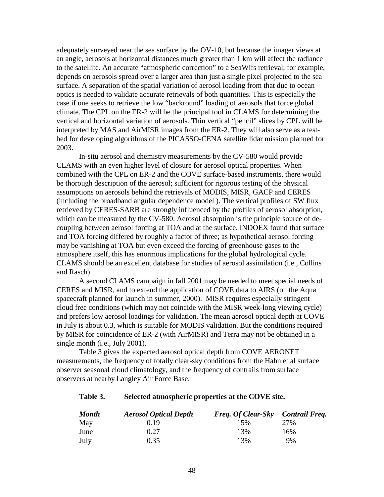adequately surveyed near the sea surface by the OV-10, but because the imager views at an angle, aerosols at horizontal distances much greater than 1 km will affect the radiance to the satellite. An accurate "atmospheric correction" to a SeaWifs retrieval, for example, depends on aerosols spread over a larger area than just a single pixel projected to the sea surface. A separation of the spatial variation of aerosol loading from that due to ocean optics is needed to validate accurate retrievals of both quantities. This is especially the case if one seeks to retrieve the low "backround" loading of aerosols that force global climate. The CPL on the ER-2 will be the principal tool in CLAMS for determining the vertical and horizontal variation of aerosols. Thin vertical "pencil" slices by CPL will be interpreted by MAS and AirMISR images from the ER-2. They will also serve as a testbed for developing algorithms of the PICASSO-CENA satellite lidar mission planned for 2003.

In-situ aerosol and chemistry measurements by the CV-580 would provide CLAMS with an even higher level of closure for aerosol optical properties. When combined with the CPL on ER-2 and the COVE surface-based instruments, there would be thorough description of the aerosol; sufficient for rigorous testing of the physical assumptions on aerosols behind the retrievals of MODIS, MISR, GACP and CERES (including the broadband angular dependence model ). The vertical profiles of SW flux retrieved by CERES-SARB are strongly influenced by the profiles of aerosol absorption, which can be measured by the CV-580. Aerosol absorption is the principle source of decoupling between aerosol forcing at TOA and at the surface. INDOEX found that surface and TOA forcing differed by roughly a factor of three; as hypothetical aerosol forcing may be vanishing at TOA but even exceed the forcing of greenhouse gases to the atmosphere itself, this has enormous implications for the global hydrological cycle. CLAMS should be an excellent database for studies of aerosol assimilation (i.e., Collins and Rasch).

A second CLAMS campaign in fall 2001 may be needed to meet special needs of CERES and MISR, and to extend the application of COVE data to AIRS (on the Aqua spacecraft planned for launch in summer, 2000). MISR requires especially stringent cloud free conditions (which may not coincide with the MISR week-long viewing cycle) and prefers low aerosol loadings for validation. The mean aerosol optical depth at COVE in July is about 0.3, which is suitable for MODIS validation. But the conditions required by MISR for coincidence of ER-2 (with AirMISR) and Terra may not be obtained in a single month (i.e., July 2001).

Table 3 gives the expected aerosol optical depth from COVE AERONET measurements, the frequency of totally clear-sky conditions from the Hahn et al surface observer seasonal cloud climatology, and the frequency of contrails from surface observers at nearby Langley Air Force Base.

#### **Table 3. Selected atmospheric properties at the COVE site.**

| <b>Month</b> | <b>Aerosol Optical Depth</b> | Freq. Of Clear-Sky Contrail Freq. |     |
|--------------|------------------------------|-----------------------------------|-----|
| May          | 0.19                         | 15%                               | 27% |
| June         | 0.27                         | 13%                               | 16% |
| July         | 0.35                         | 13%                               | 9%  |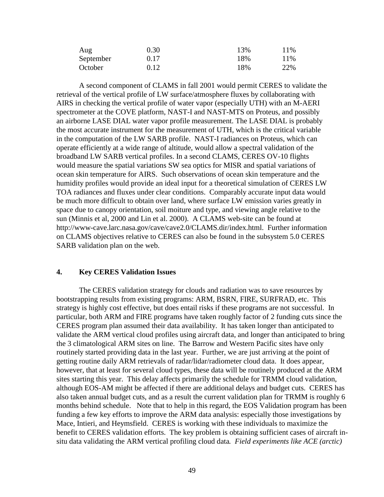| Aug       | 0.30 | 13% | 11% |
|-----------|------|-----|-----|
| September | 0.17 | 18% | 11% |
| October   | 0.12 | 18% | 22% |

A second component of CLAMS in fall 2001 would permit CERES to validate the retrieval of the vertical profile of LW surface/atmosphere fluxes by collaborating with AIRS in checking the vertical profile of water vapor (especially UTH) with an M-AERI spectrometer at the COVE platform, NAST-I and NAST-MTS on Proteus, and possibly an airborne LASE DIAL water vapor profile measurement. The LASE DIAL is probably the most accurate instrument for the measurement of UTH, which is the critical variable in the computation of the LW SARB profile. NAST-I radiances on Proteus, which can operate efficiently at a wide range of altitude, would allow a spectral validation of the broadband LW SARB vertical profiles. In a second CLAMS, CERES OV-10 flights would measure the spatial variations SW sea optics for MISR and spatial variations of ocean skin temperature for AIRS. Such observations of ocean skin temperature and the humidity profiles would provide an ideal input for a theoretical simulation of CERES LW TOA radiances and fluxes under clear conditions. Comparably accurate input data would be much more difficult to obtain over land, where surface LW emission varies greatly in space due to canopy orientation, soil moiture and type, and viewing angle relative to the sun (Minnis et al, 2000 and Lin et al. 2000). A CLAMS web-site can be found at http://www-cave.larc.nasa.gov/cave/cave2.0/CLAMS.dir/index.html. Further information on CLAMS objectives relative to CERES can also be found in the subsystem 5.0 CERES SARB validation plan on the web.

#### **4. Key CERES Validation Issues**

The CERES validation strategy for clouds and radiation was to save resources by bootstrapping results from existing programs: ARM, BSRN, FIRE, SURFRAD, etc. This strategy is highly cost effective, but does entail risks if these programs are not successful. In particular, both ARM and FIRE programs have taken roughly factor of 2 funding cuts since the CERES program plan assumed their data availability. It has taken longer than anticipated to validate the ARM vertical cloud profiles using aircraft data, and longer than anticipated to bring the 3 climatological ARM sites on line. The Barrow and Western Pacific sites have only routinely started providing data in the last year. Further, we are just arriving at the point of getting routine daily ARM retrievals of radar/lidar/radiometer cloud data. It does appear, however, that at least for several cloud types, these data will be routinely produced at the ARM sites starting this year. This delay affects primarily the schedule for TRMM cloud validation, although EOS-AM might be affected if there are additional delays and budget cuts. CERES has also taken annual budget cuts, and as a result the current validation plan for TRMM is roughly 6 months behind schedule. Note that to help in this regard, the EOS Validation program has been funding a few key efforts to improve the ARM data analysis: especially those investigations by Mace, Intieri, and Heymsfield. CERES is working with these individuals to maximize the benefit to CERES validation efforts. The key problem is obtaining sufficient cases of aircraft insitu data validating the ARM vertical profiling cloud data*. Field experiments like ACE (arctic)*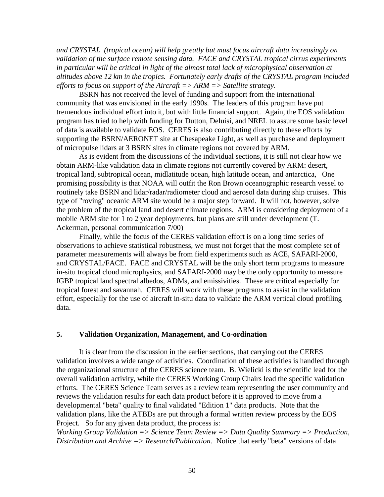*and CRYSTAL (tropical ocean) will help greatly but must focus aircraft data increasingly on validation of the surface remote sensing data. FACE and CRYSTAL tropical cirrus experiments in particular will be critical in light of the almost total lack of microphysical observation at altitudes above 12 km in the tropics. Fortunately early drafts of the CRYSTAL program included efforts to focus on support of the Aircraft => ARM => Satellite strategy.* 

BSRN has not received the level of funding and support from the international community that was envisioned in the early 1990s. The leaders of this program have put tremendous individual effort into it, but with little financial support. Again, the EOS validation program has tried to help with funding for Dutton, Deluisi, and NREL to assure some basic level of data is available to validate EOS. CERES is also contributing directly to these efforts by supporting the BSRN/AERONET site at Chesapeake Light, as well as purchase and deployment of micropulse lidars at 3 BSRN sites in climate regions not covered by ARM.

As is evident from the discussions of the individual sections, it is still not clear how we obtain ARM-like validation data in climate regions not currently covered by ARM: desert, tropical land, subtropical ocean, midlatitude ocean, high latitude ocean, and antarctica, One promising possibility is that NOAA will outfit the Ron Brown oceanographic research vessel to routinely take BSRN and lidar/radar/radiometer cloud and aerosol data during ship cruises. This type of "roving" oceanic ARM site would be a major step forward. It will not, however, solve the problem of the tropical land and desert climate regions. ARM is considering deployment of a mobile ARM site for 1 to 2 year deployments, but plans are still under development (T. Ackerman, personal communication 7/00)

Finally, while the focus of the CERES validation effort is on a long time series of observations to achieve statistical robustness, we must not forget that the most complete set of parameter measurements will always be from field experiments such as ACE, SAFARI-2000, and CRYSTAL/FACE. FACE and CRYSTAL will be the only short term programs to measure in-situ tropical cloud microphysics, and SAFARI-2000 may be the only opportunity to measure IGBP tropical land spectral albedos, ADMs, and emissivities. These are critical especially for tropical forest and savannah. CERES will work with these programs to assist in the validation effort, especially for the use of aircraft in-situ data to validate the ARM vertical cloud profiling data.

#### **5. Validation Organization, Management, and Co-ordination**

It is clear from the discussion in the earlier sections, that carrying out the CERES validation involves a wide range of activities. Coordination of these activities is handled through the organizational structure of the CERES science team. B. Wielicki is the scientific lead for the overall validation activity, while the CERES Working Group Chairs lead the specific validation efforts. The CERES Science Team serves as a review team representing the user community and reviews the validation results for each data product before it is approved to move from a developmental "beta" quality to final validated "Edition 1" data products. Note that the validation plans, like the ATBDs are put through a formal written review process by the EOS Project. So for any given data product, the process is:

*Working Group Validation => Science Team Review => Data Quality Summary => Production, Distribution and Archive => Research/Publication*. Notice that early "beta" versions of data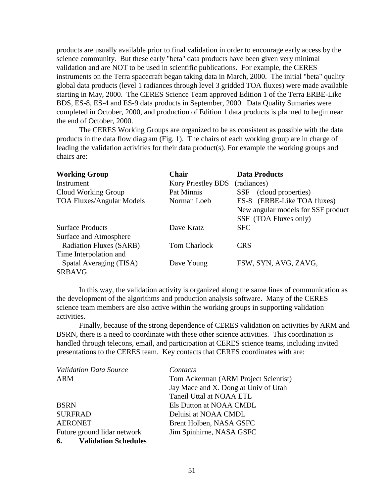products are usually available prior to final validation in order to encourage early access by the science community. But these early "beta" data products have been given very minimal validation and are NOT to be used in scientific publications. For example, the CERES instruments on the Terra spacecraft began taking data in March, 2000. The initial "beta" quality global data products (level 1 radiances through level 3 gridded TOA fluxes) were made available starting in May, 2000. The CERES Science Team approved Edition 1 of the Terra ERBE-Like BDS, ES-8, ES-4 and ES-9 data products in September, 2000. Data Quality Sumaries were completed in October, 2000, and production of Edition 1 data products is planned to begin near the end of October, 2000.

 The CERES Working Groups are organized to be as consistent as possible with the data products in the data flow diagram (Fig. 1). The chairs of each working group are in charge of leading the validation activities for their data product(s). For example the working groups and chairs are:

| <b>Working Group</b>             | <b>Chair</b>              | <b>Data Products</b>               |
|----------------------------------|---------------------------|------------------------------------|
| Instrument                       | <b>Kory Priestley BDS</b> | (radiances)                        |
| Cloud Working Group              | Pat Minnis                | (cloud properties)<br><b>SSF</b>   |
| <b>TOA Fluxes/Angular Models</b> | Norman Loeb               | ES-8 (ERBE-Like TOA fluxes)        |
|                                  |                           | New angular models for SSF product |
|                                  |                           | SSF (TOA Fluxes only)              |
| <b>Surface Products</b>          | Dave Kratz                | <b>SFC</b>                         |
| Surface and Atmosphere           |                           |                                    |
| <b>Radiation Fluxes (SARB)</b>   | <b>Tom Charlock</b>       | <b>CRS</b>                         |
| Time Interpolation and           |                           |                                    |
| Spatal Averaging (TISA)          | Dave Young                | FSW, SYN, AVG, ZAVG,               |
| <b>SRBAVG</b>                    |                           |                                    |

 In this way, the validation activity is organized along the same lines of communication as the development of the algorithms and production analysis software. Many of the CERES science team members are also active within the working groups in supporting validation activities.

 Finally, because of the strong dependence of CERES validation on activities by ARM and BSRN, there is a need to coordinate with these other science activities. This coordination is handled through telecons, email, and participation at CERES science teams, including invited presentations to the CERES team. Key contacts that CERES coordinates with are:

| <b>Validation Data Source</b>     | Contacts                             |
|-----------------------------------|--------------------------------------|
| <b>ARM</b>                        | Tom Ackerman (ARM Project Scientist) |
|                                   | Jay Mace and X. Dong at Univ of Utah |
|                                   | Taneil Uttal at NOAA ETL             |
| <b>BSRN</b>                       | Els Dutton at NOAA CMDL              |
| <b>SURFRAD</b>                    | Deluisi at NOAA CMDL                 |
| <b>AERONET</b>                    | Brent Holben, NASA GSFC              |
| Future ground lidar network       | Jim Spinhirne, NASA GSFC             |
| <b>Validation Schedules</b><br>6. |                                      |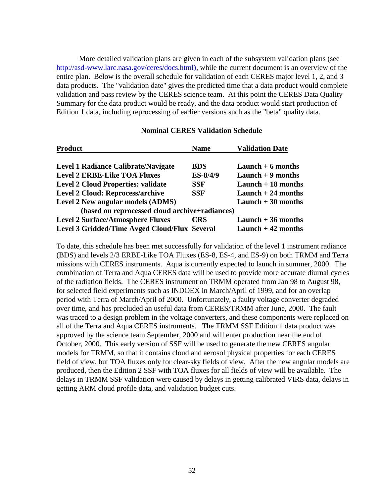More detailed validation plans are given in each of the subsystem validation plans (see http://asd-www.larc.nasa.gov/ceres/docs.html), while the current document is an overview of the entire plan. Below is the overall schedule for validation of each CERES major level 1, 2, and 3 data products. The "validation date" gives the predicted time that a data product would complete validation and pass review by the CERES science team. At this point the CERES Data Quality Summary for the data product would be ready, and the data product would start production of Edition 1 data, including reprocessing of earlier versions such as the "beta" quality data.

| <b>Product</b>                                 | <b>Name</b> | <b>Validation Date</b> |
|------------------------------------------------|-------------|------------------------|
| <b>Level 1 Radiance Calibrate/Navigate</b>     | <b>BDS</b>  | Launch $+6$ months     |
| <b>Level 2 ERBE-Like TOA Fluxes</b>            | ES-8/4/9    | Launch $+9$ months     |
| <b>Level 2 Cloud Properties: validate</b>      | <b>SSF</b>  | Launch $+18$ months    |
| <b>Level 2 Cloud: Reprocess/archive</b>        | <b>SSF</b>  | Launch $+24$ months    |
| Level 2 New angular models (ADMS)              |             | Launch $+30$ months    |
| (based on reprocessed cloud archive+radiances) |             |                        |
| <b>Level 2 Surface/Atmosphere Fluxes</b>       | <b>CRS</b>  | Launch $+36$ months    |
| Level 3 Gridded/Time Avged Cloud/Flux Several  |             | Launch $+42$ months    |

#### **Nominal CERES Validation Schedule**

To date, this schedule has been met successfully for validation of the level 1 instrument radiance (BDS) and levels 2/3 ERBE-Like TOA Fluxes (ES-8, ES-4, and ES-9) on both TRMM and Terra missions with CERES instruments. Aqua is currently expected to launch in summer, 2000. The combination of Terra and Aqua CERES data will be used to provide more accurate diurnal cycles of the radiation fields. The CERES instrument on TRMM operated from Jan 98 to August 98, for selected field experiments such as INDOEX in March/April of 1999, and for an overlap period with Terra of March/April of 2000. Unfortunately, a faulty voltage converter degraded over time, and has precluded an useful data from CERES/TRMM after June, 2000. The fault was traced to a design problem in the voltage converters, and these components were replaced on all of the Terra and Aqua CERES instruments. The TRMM SSF Edition 1 data product was approved by the science team September, 2000 and will enter production near the end of October, 2000. This early version of SSF will be used to generate the new CERES angular models for TRMM, so that it contains cloud and aerosol physical properties for each CERES field of view, but TOA fluxes only for clear-sky fields of view. After the new angular models are produced, then the Edition 2 SSF with TOA fluxes for all fields of view will be available. The delays in TRMM SSF validation were caused by delays in getting calibrated VIRS data, delays in getting ARM cloud profile data, and validation budget cuts.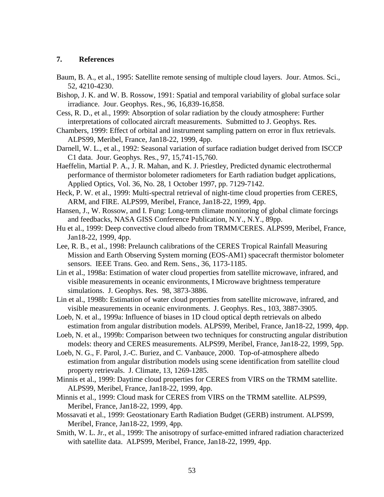# **7. References**

- Baum, B. A., et al., 1995: Satellite remote sensing of multiple cloud layers. Jour. Atmos. Sci., 52, 4210-4230.
- Bishop, J. K. and W. B. Rossow, 1991: Spatial and temporal variability of global surface solar irradiance. Jour. Geophys. Res., 96, 16,839-16,858.
- Cess, R. D., et al., 1999: Absorption of solar radiation by the cloudy atmosphere: Further interpretations of collocated aircraft measurements. Submitted to J. Geophys. Res.
- Chambers, 1999: Effect of orbital and instrument sampling pattern on error in flux retrievals. ALPS99, Meribel, France, Jan18-22, 1999, 4pp.
- Darnell, W. L., et al., 1992: Seasonal variation of surface radiation budget derived from ISCCP C1 data. Jour. Geophys. Res., 97, 15,741-15,760.
- Haeffelin, Martial P. A., J. R. Mahan, and K. J. Priestley, Predicted dynamic electrothermal performance of thermistor bolometer radiometers for Earth radiation budget applications, Applied Optics, Vol. 36, No. 28, 1 October 1997, pp. 7129-7142.
- Heck, P. W. et al., 1999: Multi-spectral retrieval of night-time cloud properties from CERES, ARM, and FIRE. ALPS99, Meribel, France, Jan18-22, 1999, 4pp.
- Hansen, J., W. Rossow, and I. Fung: Long-term climate monitoring of global climate forcings and feedbacks, NASA GISS Conference Publication, N.Y., N.Y., 89pp.
- Hu et al., 1999: Deep convective cloud albedo from TRMM/CERES. ALPS99, Meribel, France, Jan18-22, 1999, 4pp.
- Lee, R. B., et al., 1998: Prelaunch calibrations of the CERES Tropical Rainfall Measuring Mission and Earth Observing System morning (EOS-AM1) spacecraft thermistor bolometer sensors. IEEE Trans. Geo. and Rem. Sens., 36, 1173-1185.
- Lin et al., 1998a: Estimation of water cloud properties from satellite microwave, infrared, and visible measurements in oceanic environments, I Microwave brightness temperature simulations. J. Geophys. Res. 98, 3873-3886.
- Lin et al., 1998b: Estimation of water cloud properties from satellite microwave, infrared, and visible measurements in oceanic environments. J. Geophys. Res., 103, 3887-3905.
- Loeb, N. et al., 1999a: Influence of biases in 1D cloud optical depth retrievals on albedo estimation from angular distribution models. ALPS99, Meribel, France, Jan18-22, 1999, 4pp.
- Loeb, N. et al., 1999b: Comparison between two techniques for constructing angular distribution models: theory and CERES measurements. ALPS99, Meribel, France, Jan18-22, 1999, 5pp.
- Loeb, N. G., F. Parol, J.-C. Buriez, and C. Vanbauce, 2000. Top-of-atmosphere albedo estimation from angular distribution models using scene identification from satellite cloud property retrievals. J. Climate, 13, 1269-1285.
- Minnis et al., 1999: Daytime cloud properties for CERES from VIRS on the TRMM satellite. ALPS99, Meribel, France, Jan18-22, 1999, 4pp.
- Minnis et al., 1999: Cloud mask for CERES from VIRS on the TRMM satellite. ALPS99, Meribel, France, Jan18-22, 1999, 4pp.
- Mossavati et al., 1999: Geostationary Earth Radiation Budget (GERB) instrument. ALPS99, Meribel, France, Jan18-22, 1999, 4pp.
- Smith, W. L. Jr., et al., 1999: The anisotropy of surface-emitted infrared radiation characterized with satellite data. ALPS99, Meribel, France, Jan18-22, 1999, 4pp.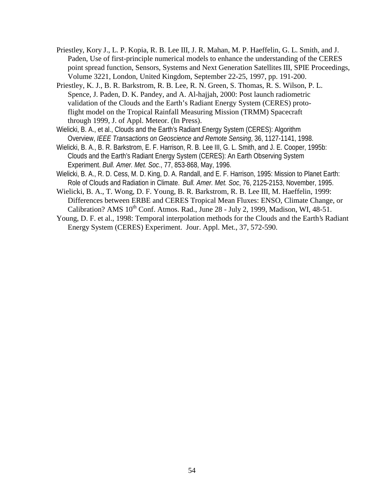- Priestley, Kory J., L. P. Kopia, R. B. Lee III, J. R. Mahan, M. P. Haeffelin, G. L. Smith, and J. Paden, Use of first-principle numerical models to enhance the understanding of the CERES point spread function, Sensors, Systems and Next Generation Satellites III, SPIE Proceedings, Volume 3221, London, United Kingdom, September 22-25, 1997, pp. 191-200.
- Priestley, K. J., B. R. Barkstrom, R. B. Lee, R. N. Green, S. Thomas, R. S. Wilson, P. L. Spence, J. Paden, D. K. Pandey, and A. Al-hajjah, 2000: Post launch radiometric validation of the Clouds and the Earth's Radiant Energy System (CERES) protoflight model on the Tropical Rainfall Measuring Mission (TRMM) Spacecraft through 1999, J. of Appl. Meteor. (In Press).
- Wielicki, B. A., et al., Clouds and the Earth's Radiant Energy System (CERES): Algorithm Overview, *IEEE Transactions on Geoscience and Remote Sensing*, 36, 1127-1141, 1998.
- Wielicki, B. A., B. R. Barkstrom, E. F. Harrison, R. B. Lee III, G. L. Smith, and J. E. Cooper, 1995b: Clouds and the Earth's Radiant Energy System (CERES): An Earth Observing System Experiment. *Bull. Amer. Met. Soc*., 77, 853-868, May, 1996.
- Wielicki, B. A., R. D. Cess, M. D. King, D. A. Randall, and E. F. Harrison, 1995: Mission to Planet Earth: Role of Clouds and Radiation in Climate. *Bull. Amer. Met. Soc*, 76, 2125-2153, November, 1995.
- Wielicki, B. A., T. Wong, D. F. Young, B. R. Barkstrom, R. B. Lee III, M. Haeffelin, 1999: Differences between ERBE and CERES Tropical Mean Fluxes: ENSO, Climate Change, or Calibration? AMS  $10^{th}$  Conf. Atmos. Rad., June 28 - July 2, 1999, Madison, WI, 48-51.
- Young, D. F. et al., 1998: Temporal interpolation methods for the Clouds and the Earth's Radiant Energy System (CERES) Experiment. Jour. Appl. Met., 37, 572-590.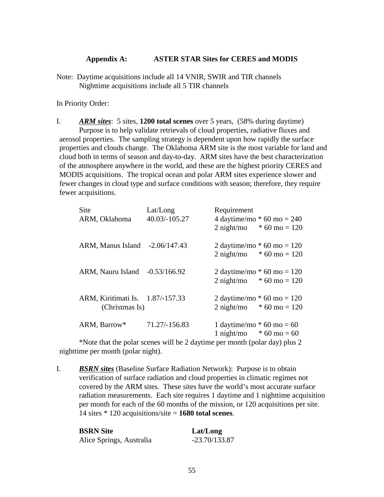## **Appendix A: ASTER STAR Sites for CERES and MODIS**

Note: Daytime acquisitions include all 14 VNIR, SWIR and TIR channels Nighttime acquisitions include all 5 TIR channels

In Priority Order:

I. *ARM sites*: 5 sites, **1200 total scenes** over 5 years, (58% during daytime) Purpose is to help validate retrievals of cloud properties, radiative fluxes and aerosol properties. The sampling strategy is dependent upon how rapidly the surface properties and clouds change. The Oklahoma ARM site is the most variable for land and cloud both in terms of season and day-to-day. ARM sites have the best characterization of the atmosphere anywhere in the world, and these are the highest priority CERES and MODIS acquisitions. The tropical ocean and polar ARM sites experience slower and fewer changes in cloud type and surface conditions with season; therefore, they require fewer acquisitions.

| <b>Site</b><br>ARM, Oklahoma                       | Lat/Long<br>40.03/-105.27 | Requirement<br>4 daytime/mo $*$ 60 mo = 240<br>$2 \text{ night/mol}$ * 60 mo = 120 |
|----------------------------------------------------|---------------------------|------------------------------------------------------------------------------------|
| ARM, Manus Island -2.06/147.43                     |                           | 2 daytime/mo $*$ 60 mo = 120<br>$2 \text{ night/mol}$ * 60 mo = 120                |
| ARM, Nauru Island -0.53/166.92                     |                           | 2 daytime/mo $*$ 60 mo = 120<br>$2 \text{ night/mol}$ * 60 mo = 120                |
| ARM, Kiritimati Is. 1.87/-157.33<br>(Christmas Is) |                           | 2 daytime/mo $*$ 60 mo = 120<br>$2 \text{ night/mol}$ * 60 mo = 120                |
| ARM, Barrow*                                       | 71.27/-156.83             | 1 daytime/mo $*$ 60 mo = 60<br>$1 \text{ night/mo}$ * 60 mo = 60                   |

\*Note that the polar scenes will be 2 daytime per month (polar day) plus 2 nighttime per month (polar night).

I. *BSRN sites* (Baseline Surface Radiation Network): Purpose is to obtain verification of surface radiation and cloud properties in climatic regimes not covered by the ARM sites. These sites have the world's most accurate surface radiation measurements. Each site requires 1 daytime and 1 nighttime acquisition per month for each of the 60 months of the mission, or 120 acquisitions per site. 14 sites \* 120 acquisitions/site = **1680 total scenes**.

| <b>BSRN Site</b>         | Lat/Long        |
|--------------------------|-----------------|
| Alice Springs, Australia | $-23.70/133.87$ |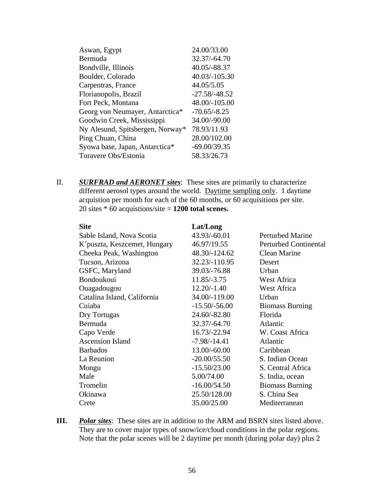| Aswan, Egypt                     | 24.00/33.00     |
|----------------------------------|-----------------|
| Bermuda                          | 32.37/-64.70    |
| Bondville, Illinois              | 40.05/-88.37    |
| Boulder, Colorado                | 40.03/-105.30   |
| Carpentras, France               | 44.05/5.05      |
| Florianopolis, Brazil            | $-27.58/-48.52$ |
| Fort Peck, Montana               | 48.00/-105.00   |
| Georg von Neumayer, Antarctica*  | $-70.65/-8.25$  |
| Goodwin Creek, Mississippi       | 34.00/-90.00    |
| Ny Alesund, Spitsbergen, Norway* | 78.93/11.93     |
| Ping Chuan, China                | 28.00/102.00    |
| Syowa base, Japan, Antarctica*   | $-69.00/39.35$  |
| Toravere Obs/Estonia             | 58.33/26.73     |
|                                  |                 |

II. *SURFRAD and AERONET sites*: These sites are primarily to characterize different aerosol types around the world. Daytime sampling only. 1 daytime acquistion per month for each of the 60 months, or 60 acquisitions per site. 20 sites \* 60 acquistions/site = **1200 total scenes.** 

| <b>Site</b>                   | Lat/Long        |                              |
|-------------------------------|-----------------|------------------------------|
| Sable Island, Nova Scotia     | 43.93/-60.01    | <b>Perturbed Marine</b>      |
| K' puszta, Keszcemet, Hungary | 46.97/19.55     | <b>Perturbed Continental</b> |
| Cheeka Peak, Washington       | 48.30/-124.62   | Clean Marine                 |
| Tucson, Arizona               | 32.23/-110.95   | Desert                       |
| GSFC, Maryland                | 39.03/-76.88    | Urban                        |
| Bondoukoui                    | 11.85/-3.75     | West Africa                  |
| Ouagadougou                   | $12.20/-1.40$   | West Africa                  |
| Catalina Island, California   | 34.00/-119.00   | Urban                        |
| Cuiaba                        | $-15.50/-56.00$ | <b>Biomass Burning</b>       |
| Dry Tortugas                  | 24.60/-82.80    | Florida                      |
| Bermuda                       | 32.37/-64.70    | Atlantic                     |
| Capo Verde                    | 16.73/-22.94    | W. Coast Africa              |
| <b>Ascension Island</b>       | $-7.98/-14.41$  | Atlantic                     |
| <b>Barbados</b>               | 13.00/-60.00    | Caribbean                    |
| La Reunion                    | $-20.00/55.50$  | S. Indian Ocean              |
| Mongu                         | $-15.50/23.00$  | S. Central Africa            |
| Male                          | 5.00/74.00      | S. India, ocean              |
| Tromelin                      | $-16.00/54.50$  | <b>Biomass Burning</b>       |
| Okinawa                       | 25.50/128.00    | S. China Sea                 |
| Crete                         | 35.00/25.00     | Mediterranean                |

**III.** *Polar sites*: These sites are in addition to the ARM and BSRN sites listed above. They are to cover major types of snow/ice/cloud conditions in the polar regions. Note that the polar scenes will be 2 daytime per month (during polar day) plus 2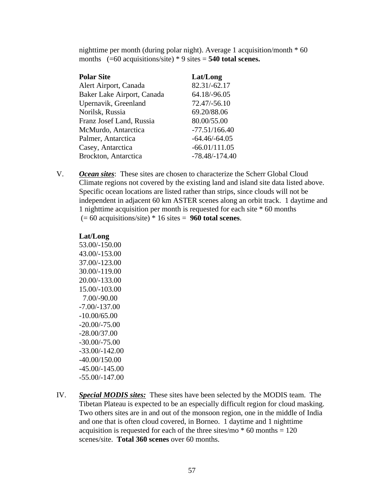nighttime per month (during polar night). Average 1 acquisition/month \* 60 months (=60 acquisitions/site) \* 9 sites = **540 total scenes.** 

| <b>Polar Site</b>          | Lat/Long         |
|----------------------------|------------------|
| Alert Airport, Canada      | 82.31/-62.17     |
| Baker Lake Airport, Canada | 64.18/-96.05     |
| Upernavik, Greenland       | 72.47/-56.10     |
| Norilsk, Russia            | 69.20/88.06      |
| Franz Josef Land, Russia   | 80.00/55.00      |
| McMurdo, Antarctica        | $-77.51/166.40$  |
| Palmer, Antarctica         | $-64.46/-64.05$  |
| Casey, Antarctica          | $-66.01/111.05$  |
| Brockton, Antarctica       | $-78.48/-174.40$ |

V. *Ocean sites*: These sites are chosen to characterize the Scherr Global Cloud Climate regions not covered by the existing land and island site data listed above. Specific ocean locations are listed rather than strips, since clouds will not be independent in adjacent 60 km ASTER scenes along an orbit track. 1 daytime and 1 nighttime acquisition per month is requested for each site \* 60 months (= 60 acquisitions/site) \* 16 sites = **960 total scenes**.

# **Lat/Long**  53.00/-150.00 43.00/-153.00 37.00/-123.00 30.00/-119.00 20.00/-133.00 15.00/-103.00

 7.00/-90.00 -7.00/-137.00 -10.00/65.00 -20.00/-75.00 -28.00/37.00 -30.00/-75.00 -33.00/-142.00 -40.00/150.00 -45.00/-145.00 -55.00/-147.00

IV. *Special MODIS sites:* These sites have been selected by the MODIS team. The Tibetan Plateau is expected to be an especially difficult region for cloud masking. Two others sites are in and out of the monsoon region, one in the middle of India and one that is often cloud covered, in Borneo. 1 daytime and 1 nighttime acquisition is requested for each of the three sites/mo  $*$  60 months = 120 scenes/site. **Total 360 scenes** over 60 months.